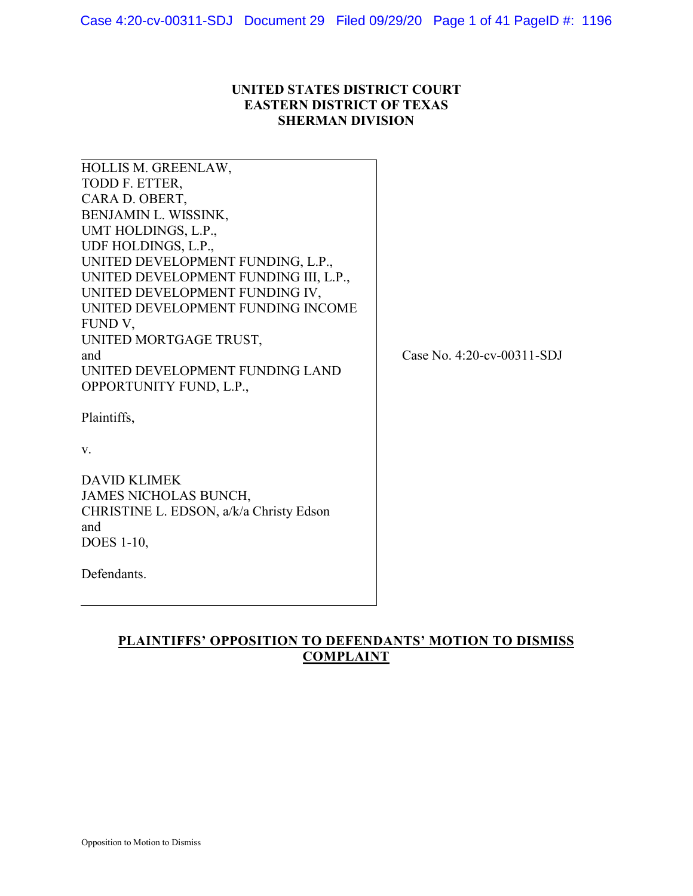# **UNITED STATES DISTRICT COURT EASTERN DISTRICT OF TEXAS SHERMAN DIVISION**

| HOLLIS M. GREENLAW,<br>TODD F. ETTER,<br>CARA D. OBERT,<br>BENJAMIN L. WISSINK,<br>UMT HOLDINGS, L.P.,<br>UDF HOLDINGS, L.P.,<br>UNITED DEVELOPMENT FUNDING, L.P.,<br>UNITED DEVELOPMENT FUNDING III, L.P.,<br>UNITED DEVELOPMENT FUNDING IV,<br>UNITED DEVELOPMENT FUNDING INCOME<br>FUND V,<br>UNITED MORTGAGE TRUST,<br>and<br>UNITED DEVELOPMENT FUNDING LAND | Case No. 4:20-cv-00311-SDJ |
|-------------------------------------------------------------------------------------------------------------------------------------------------------------------------------------------------------------------------------------------------------------------------------------------------------------------------------------------------------------------|----------------------------|
| OPPORTUNITY FUND, L.P.,<br>Plaintiffs,<br>V.<br><b>DAVID KLIMEK</b><br><b>JAMES NICHOLAS BUNCH,</b><br>CHRISTINE L. EDSON, a/k/a Christy Edson<br>and<br><b>DOES</b> 1-10,<br>Defendants.                                                                                                                                                                         |                            |

# **PLAINTIFFS' OPPOSITION TO DEFENDANTS' MOTION TO DISMISS COMPLAINT**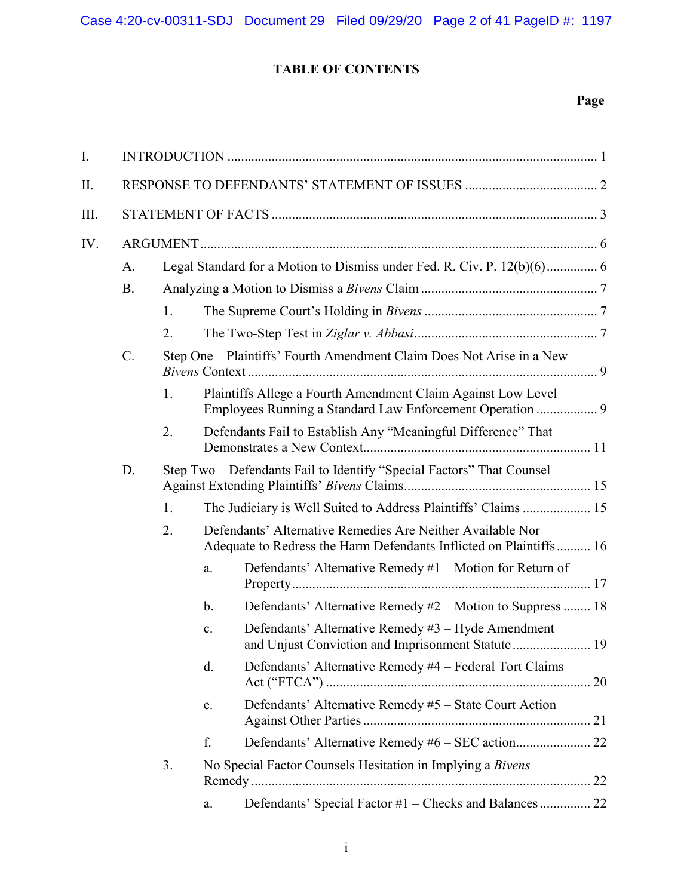# **TABLE OF CONTENTS**

# **Page**

| I.   |           |    |                                                                     |                                                                                                                                  |
|------|-----------|----|---------------------------------------------------------------------|----------------------------------------------------------------------------------------------------------------------------------|
| Π.   |           |    |                                                                     |                                                                                                                                  |
| III. |           |    |                                                                     |                                                                                                                                  |
| IV.  |           |    |                                                                     |                                                                                                                                  |
|      | A.        |    |                                                                     | Legal Standard for a Motion to Dismiss under Fed. R. Civ. P. 12(b)(6) 6                                                          |
|      | <b>B.</b> |    |                                                                     |                                                                                                                                  |
|      |           | 1. |                                                                     |                                                                                                                                  |
|      |           | 2. |                                                                     |                                                                                                                                  |
|      | $C$ .     |    | Step One-Plaintiffs' Fourth Amendment Claim Does Not Arise in a New |                                                                                                                                  |
|      |           | 1. |                                                                     | Plaintiffs Allege a Fourth Amendment Claim Against Low Level<br>Employees Running a Standard Law Enforcement Operation  9        |
|      |           | 2. |                                                                     | Defendants Fail to Establish Any "Meaningful Difference" That                                                                    |
|      | D.        |    |                                                                     | Step Two-Defendants Fail to Identify "Special Factors" That Counsel                                                              |
|      |           | 1. |                                                                     | The Judiciary is Well Suited to Address Plaintiffs' Claims  15                                                                   |
|      |           | 2. |                                                                     | Defendants' Alternative Remedies Are Neither Available Nor<br>Adequate to Redress the Harm Defendants Inflicted on Plaintiffs 16 |
|      |           |    | a.                                                                  | Defendants' Alternative Remedy #1 – Motion for Return of                                                                         |
|      |           |    | $\mathbf b$ .                                                       | Defendants' Alternative Remedy #2 – Motion to Suppress  18                                                                       |
|      |           |    | c.                                                                  | Defendants' Alternative Remedy #3 - Hyde Amendment<br>and Unjust Conviction and Imprisonment Statute 19                          |
|      |           |    | d.                                                                  | Defendants' Alternative Remedy #4 – Federal Tort Claims                                                                          |
|      |           |    | e.                                                                  | Defendants' Alternative Remedy #5 - State Court Action                                                                           |
|      |           |    | f.                                                                  |                                                                                                                                  |
|      |           | 3. |                                                                     | No Special Factor Counsels Hesitation in Implying a Bivens<br>22                                                                 |
|      |           |    | a.                                                                  | Defendants' Special Factor #1 - Checks and Balances 22                                                                           |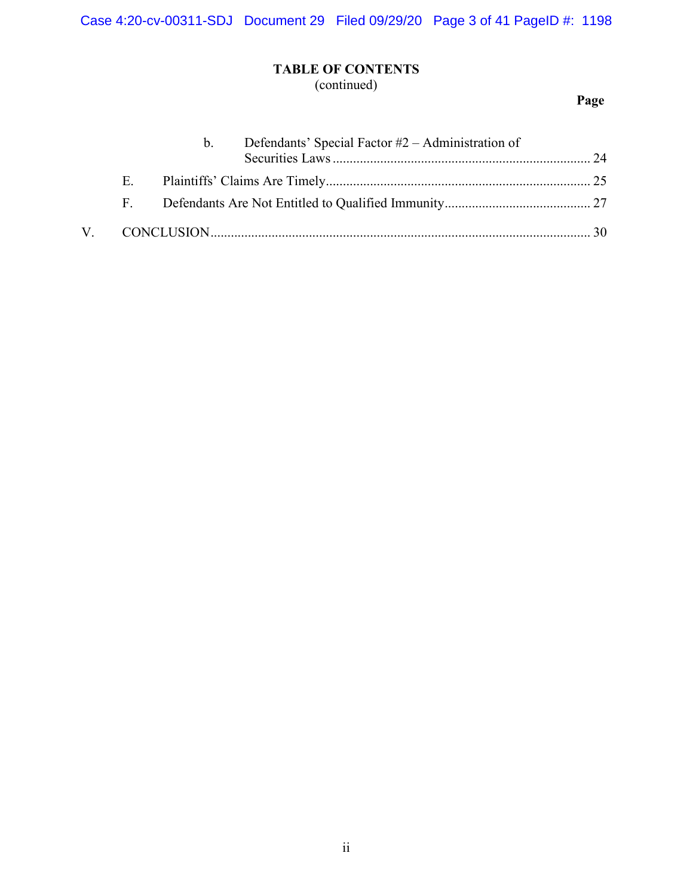# **TABLE OF CONTENTS**

(continued)

# **Page**

|              | $h_{\cdot}$ | Defendants' Special Factor $#2 -$ Administration of |  |
|--------------|-------------|-----------------------------------------------------|--|
| E.           |             |                                                     |  |
| $\mathbf{F}$ |             |                                                     |  |
|              |             |                                                     |  |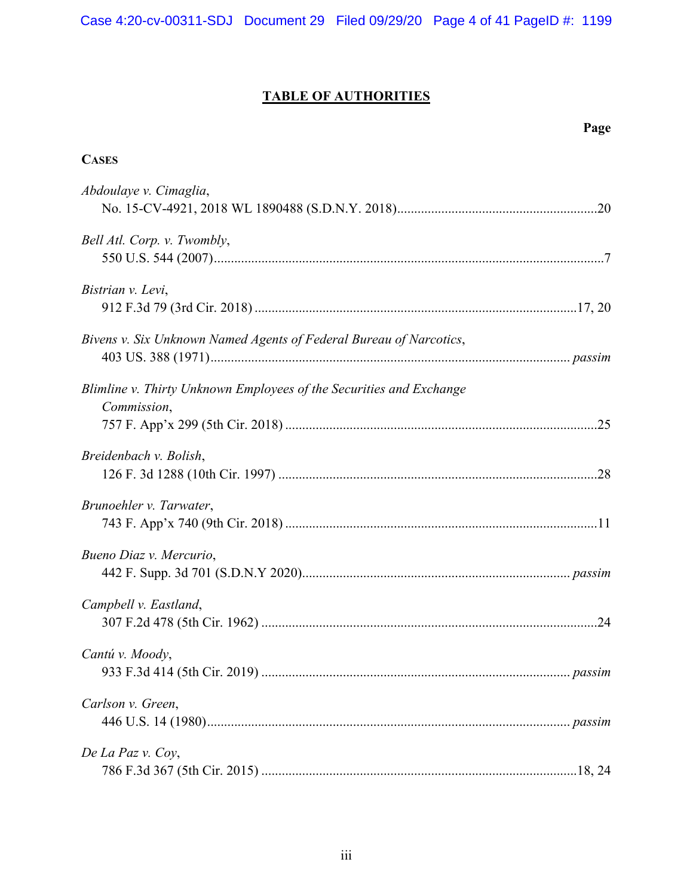# **TABLE OF AUTHORITIES**

| Page                                                                               |
|------------------------------------------------------------------------------------|
| <b>CASES</b>                                                                       |
| Abdoulaye v. Cimaglia,                                                             |
| Bell Atl. Corp. v. Twombly,                                                        |
| Bistrian v. Levi,                                                                  |
| Bivens v. Six Unknown Named Agents of Federal Bureau of Narcotics,                 |
| Blimline v. Thirty Unknown Employees of the Securities and Exchange<br>Commission, |
|                                                                                    |
| Breidenbach v. Bolish,                                                             |
| Brunoehler v. Tarwater,                                                            |
| Bueno Diaz v. Mercurio,                                                            |
| Campbell v. Eastland,                                                              |
| Cantú v. Moody,                                                                    |
| Carlson v. Green,                                                                  |
| De La Paz v. Coy,                                                                  |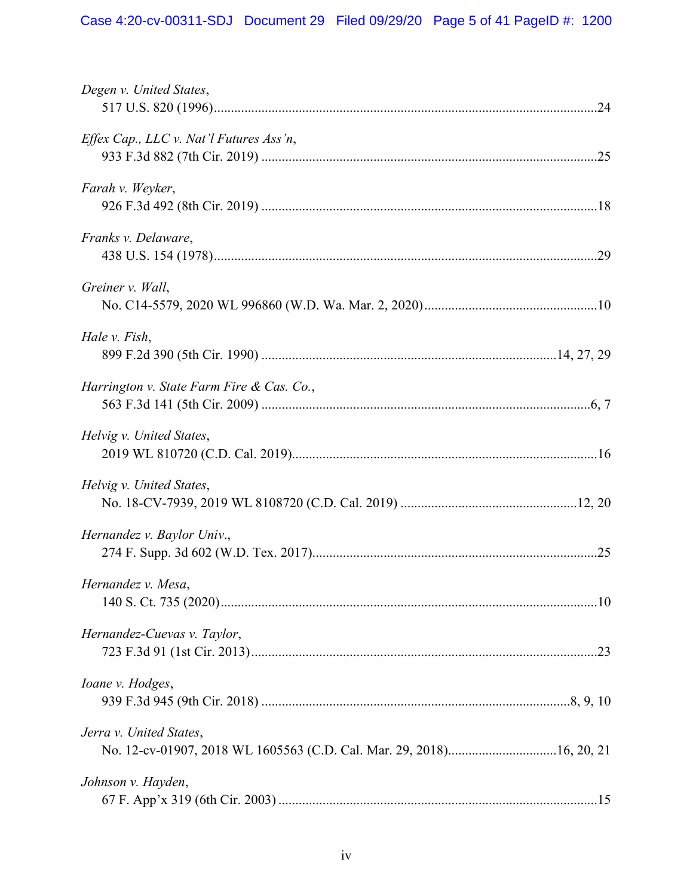| Degen v. United States,                        |  |
|------------------------------------------------|--|
| <i>Effex Cap., LLC v. Nat'l Futures Ass'n,</i> |  |
| Farah v. Weyker,                               |  |
| Franks v. Delaware,                            |  |
| Greiner v. Wall,                               |  |
| Hale v. Fish,                                  |  |
| Harrington v. State Farm Fire & Cas. Co.,      |  |
| Helvig v. United States,                       |  |
| Helvig v. United States,                       |  |
| Hernandez v. Baylor Univ.,                     |  |
| Hernandez v. Mesa,                             |  |
| Hernandez-Cuevas v. Taylor,                    |  |
| Ioane v. Hodges,                               |  |
| Jerra v. United States,                        |  |
| Johnson v. Hayden,                             |  |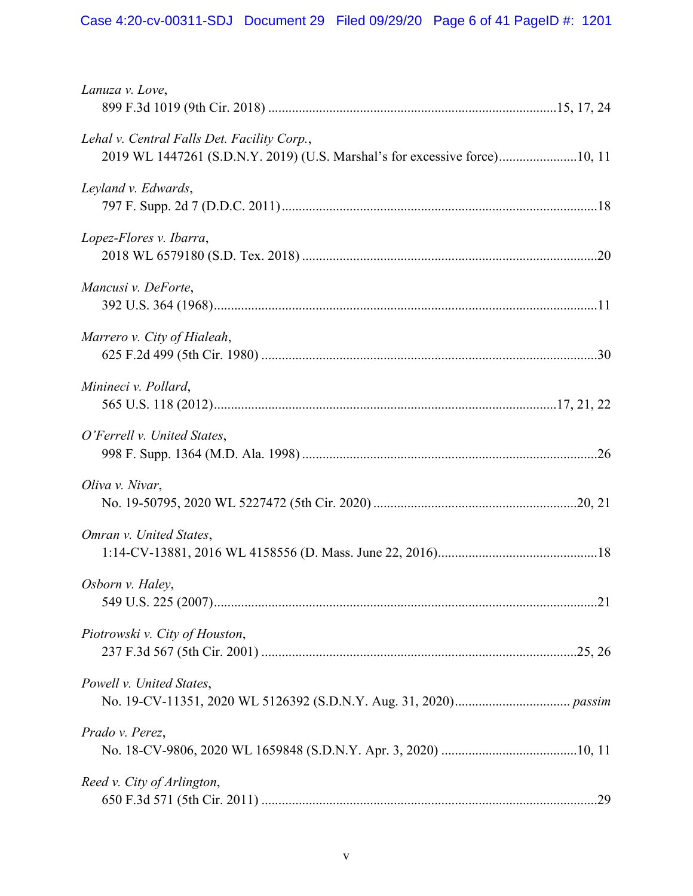| Lanuza v. Love,                                                                                                           |
|---------------------------------------------------------------------------------------------------------------------------|
| Lehal v. Central Falls Det. Facility Corp.,<br>2019 WL 1447261 (S.D.N.Y. 2019) (U.S. Marshal's for excessive force)10, 11 |
| Leyland v. Edwards,                                                                                                       |
| Lopez-Flores v. Ibarra,                                                                                                   |
| Mancusi v. DeForte,                                                                                                       |
| Marrero v. City of Hialeah,                                                                                               |
| Minineci v. Pollard,                                                                                                      |
| O'Ferrell v. United States,                                                                                               |
| Oliva v. Nivar,                                                                                                           |
| Omran v. United States,                                                                                                   |
| Osborn v. Haley,                                                                                                          |
| Piotrowski v. City of Houston,                                                                                            |
| Powell v. United States,                                                                                                  |
| Prado v. Perez,                                                                                                           |
| Reed v. City of Arlington,                                                                                                |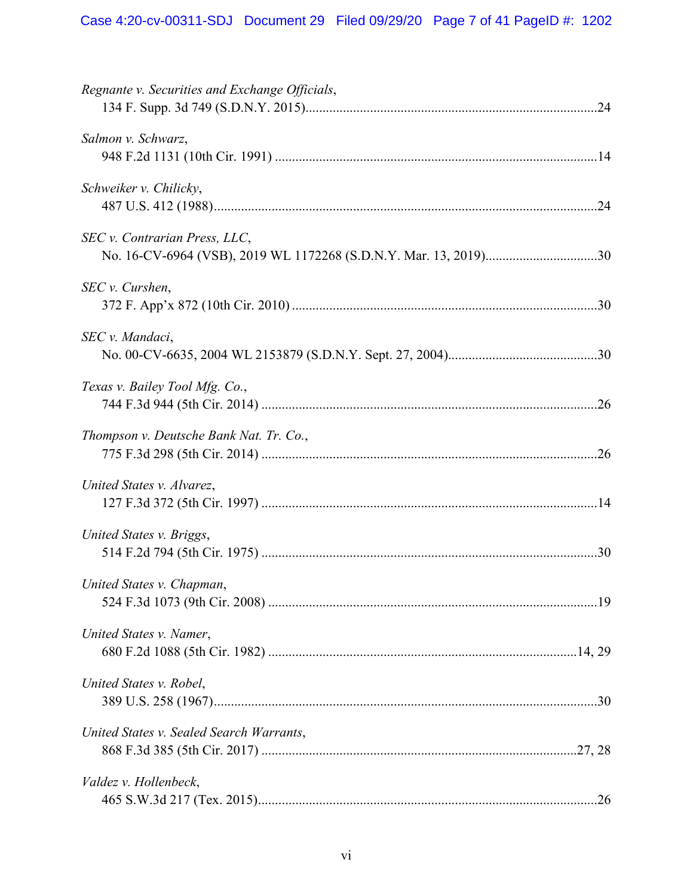| Regnante v. Securities and Exchange Officials, |  |
|------------------------------------------------|--|
| Salmon v. Schwarz,                             |  |
| Schweiker v. Chilicky,                         |  |
| SEC v. Contrarian Press, LLC,                  |  |
| SEC v. Curshen,                                |  |
| SEC v. Mandaci,                                |  |
| Texas v. Bailey Tool Mfg. Co.,                 |  |
| Thompson v. Deutsche Bank Nat. Tr. Co.,        |  |
| United States v. Alvarez,                      |  |
| United States v. Briggs,                       |  |
| United States v. Chapman,                      |  |
| United States v. Namer,                        |  |
| United States v. Robel,                        |  |
| United States v. Sealed Search Warrants,       |  |
| Valdez v. Hollenbeck,                          |  |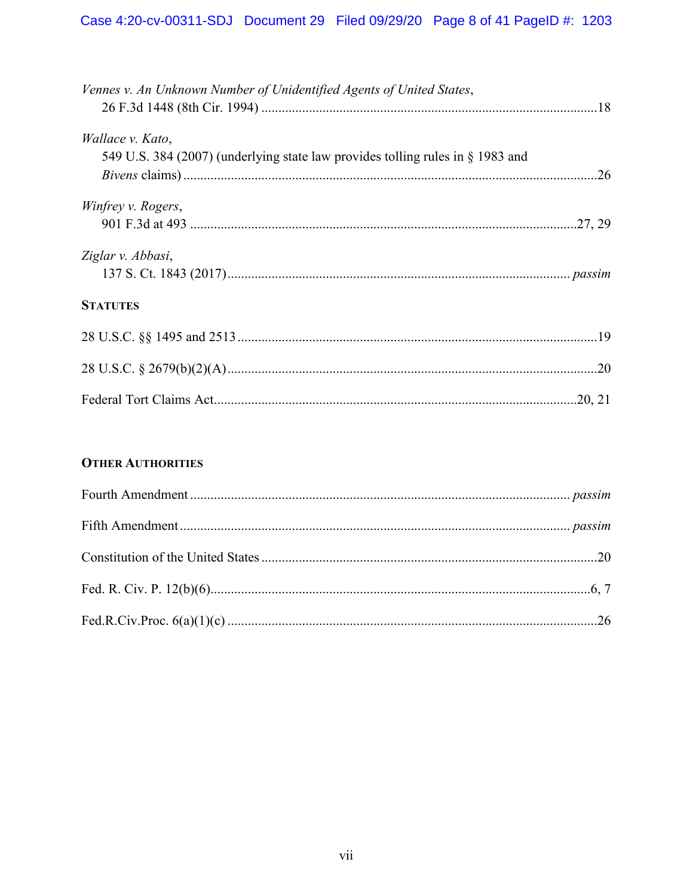| Vennes v. An Unknown Number of Unidentified Agents of United States,                               |
|----------------------------------------------------------------------------------------------------|
| Wallace v. Kato,<br>549 U.S. 384 (2007) (underlying state law provides tolling rules in § 1983 and |
| Winfrey v. Rogers,                                                                                 |
| Ziglar v. Abbasi,                                                                                  |
| <b>STATUTES</b>                                                                                    |
|                                                                                                    |
|                                                                                                    |
|                                                                                                    |

# **OTHER AUTHORITIES**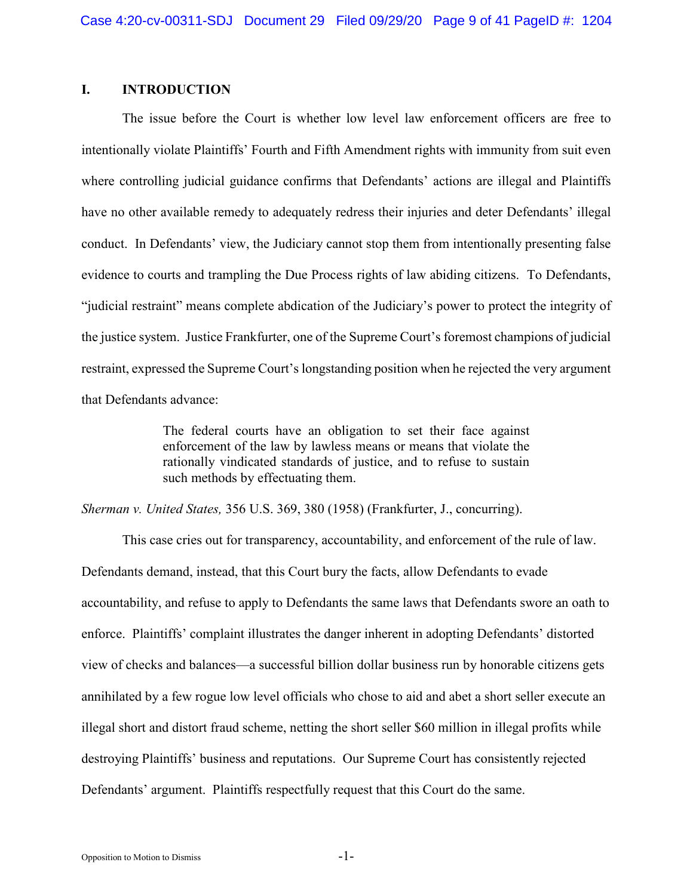# **I. INTRODUCTION**

The issue before the Court is whether low level law enforcement officers are free to intentionally violate Plaintiffs' Fourth and Fifth Amendment rights with immunity from suit even where controlling judicial guidance confirms that Defendants' actions are illegal and Plaintiffs have no other available remedy to adequately redress their injuries and deter Defendants' illegal conduct. In Defendants' view, the Judiciary cannot stop them from intentionally presenting false evidence to courts and trampling the Due Process rights of law abiding citizens. To Defendants, "judicial restraint" means complete abdication of the Judiciary's power to protect the integrity of the justice system. Justice Frankfurter, one of the Supreme Court's foremost champions of judicial restraint, expressed the Supreme Court's longstanding position when he rejected the very argument that Defendants advance:

> The federal courts have an obligation to set their face against enforcement of the law by lawless means or means that violate the rationally vindicated standards of justice, and to refuse to sustain such methods by effectuating them.

*Sherman v. United States,* 356 U.S. 369, 380 (1958) (Frankfurter, J., concurring).

This case cries out for transparency, accountability, and enforcement of the rule of law. Defendants demand, instead, that this Court bury the facts, allow Defendants to evade accountability, and refuse to apply to Defendants the same laws that Defendants swore an oath to enforce. Plaintiffs' complaint illustrates the danger inherent in adopting Defendants' distorted view of checks and balances—a successful billion dollar business run by honorable citizens gets annihilated by a few rogue low level officials who chose to aid and abet a short seller execute an illegal short and distort fraud scheme, netting the short seller \$60 million in illegal profits while destroying Plaintiffs' business and reputations. Our Supreme Court has consistently rejected Defendants' argument. Plaintiffs respectfully request that this Court do the same.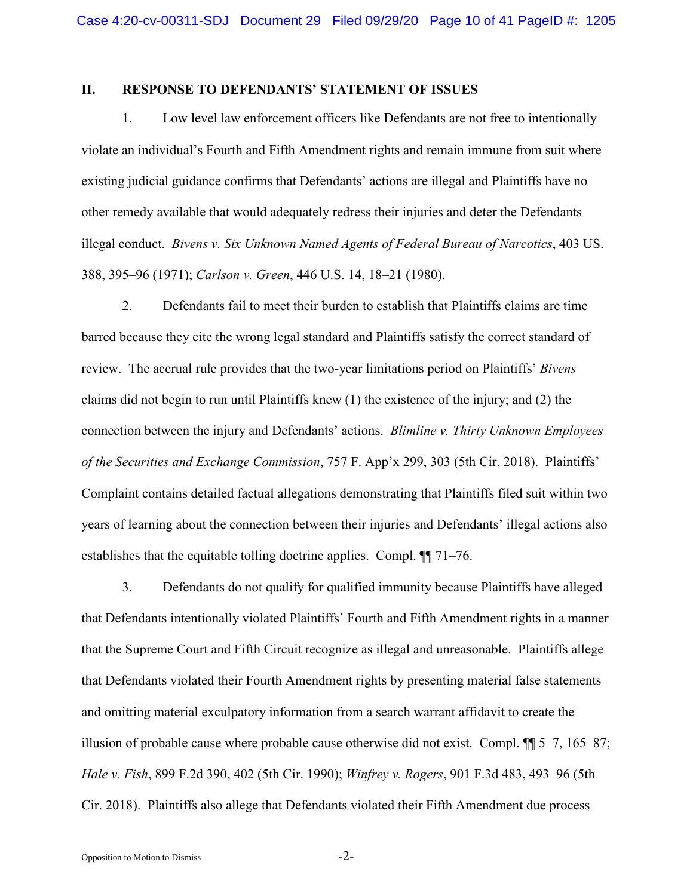## **II. RESPONSE TO DEFENDANTS' STATEMENT OF ISSUES**

1. Low level law enforcement officers like Defendants are not free to intentionally violate an individual's Fourth and Fifth Amendment rights and remain immune from suit where existing judicial guidance confirms that Defendants' actions are illegal and Plaintiffs have no other remedy available that would adequately redress their injuries and deter the Defendants illegal conduct. *Bivens v. Six Unknown Named Agents of Federal Bureau of Narcotics*, 403 US. 388, 395–96 (1971); *Carlson v. Green*, 446 U.S. 14, 18–21 (1980).

2. Defendants fail to meet their burden to establish that Plaintiffs claims are time barred because they cite the wrong legal standard and Plaintiffs satisfy the correct standard of review. The accrual rule provides that the two-year limitations period on Plaintiffs' *Bivens*  claims did not begin to run until Plaintiffs knew (1) the existence of the injury; and (2) the connection between the injury and Defendants' actions. *Blimline v. Thirty Unknown Employees of the Securities and Exchange Commission*, 757 F. App'x 299, 303 (5th Cir. 2018). Plaintiffs' Complaint contains detailed factual allegations demonstrating that Plaintiffs filed suit within two years of learning about the connection between their injuries and Defendants' illegal actions also establishes that the equitable tolling doctrine applies. Compl. ¶¶ 71–76.

3. Defendants do not qualify for qualified immunity because Plaintiffs have alleged that Defendants intentionally violated Plaintiffs' Fourth and Fifth Amendment rights in a manner that the Supreme Court and Fifth Circuit recognize as illegal and unreasonable. Plaintiffs allege that Defendants violated their Fourth Amendment rights by presenting material false statements and omitting material exculpatory information from a search warrant affidavit to create the illusion of probable cause where probable cause otherwise did not exist. Compl. ¶¶ 5–7, 165–87; *Hale v. Fish*, 899 F.2d 390, 402 (5th Cir. 1990); *Winfrey v. Rogers*, 901 F.3d 483, 493–96 (5th Cir. 2018). Plaintiffs also allege that Defendants violated their Fifth Amendment due process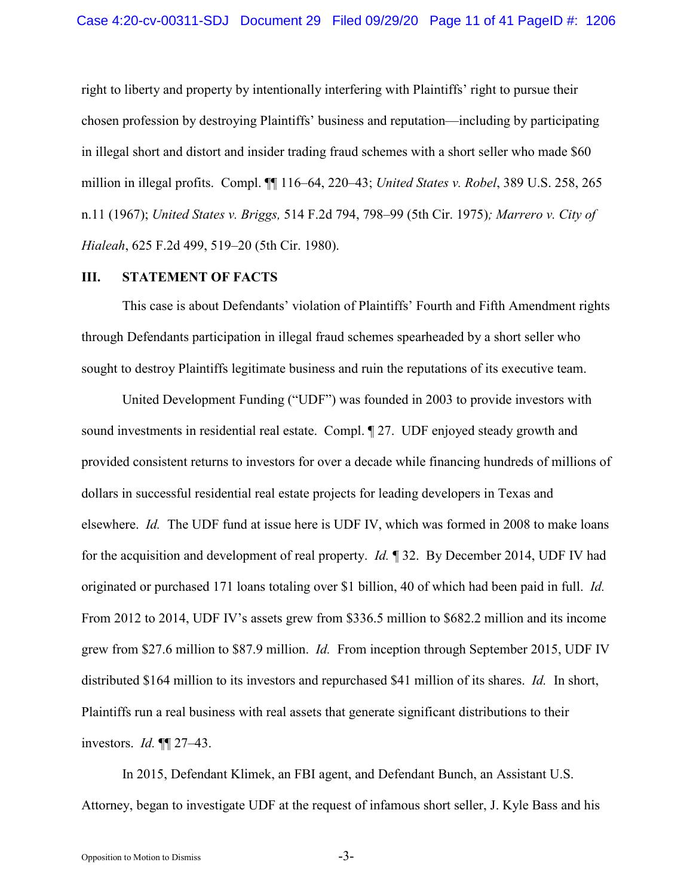right to liberty and property by intentionally interfering with Plaintiffs' right to pursue their chosen profession by destroying Plaintiffs' business and reputation—including by participating in illegal short and distort and insider trading fraud schemes with a short seller who made \$60 million in illegal profits. Compl. ¶¶ 116–64, 220–43; *United States v. Robel*, 389 U.S. 258, 265 n.11 (1967); *United States v. Briggs,* 514 F.2d 794, 798–99 (5th Cir. 1975)*; Marrero v. City of Hialeah*, 625 F.2d 499, 519–20 (5th Cir. 1980).

## **III. STATEMENT OF FACTS**

This case is about Defendants' violation of Plaintiffs' Fourth and Fifth Amendment rights through Defendants participation in illegal fraud schemes spearheaded by a short seller who sought to destroy Plaintiffs legitimate business and ruin the reputations of its executive team.

United Development Funding ("UDF") was founded in 2003 to provide investors with sound investments in residential real estate. Compl.  $\parallel$  27. UDF enjoyed steady growth and provided consistent returns to investors for over a decade while financing hundreds of millions of dollars in successful residential real estate projects for leading developers in Texas and elsewhere. *Id.* The UDF fund at issue here is UDF IV, which was formed in 2008 to make loans for the acquisition and development of real property. *Id.* ¶ 32. By December 2014, UDF IV had originated or purchased 171 loans totaling over \$1 billion, 40 of which had been paid in full. *Id.*  From 2012 to 2014, UDF IV's assets grew from \$336.5 million to \$682.2 million and its income grew from \$27.6 million to \$87.9 million. *Id.* From inception through September 2015, UDF IV distributed \$164 million to its investors and repurchased \$41 million of its shares. *Id.* In short, Plaintiffs run a real business with real assets that generate significant distributions to their investors. *Id.* ¶¶ 27–43.

In 2015, Defendant Klimek, an FBI agent, and Defendant Bunch, an Assistant U.S. Attorney, began to investigate UDF at the request of infamous short seller, J. Kyle Bass and his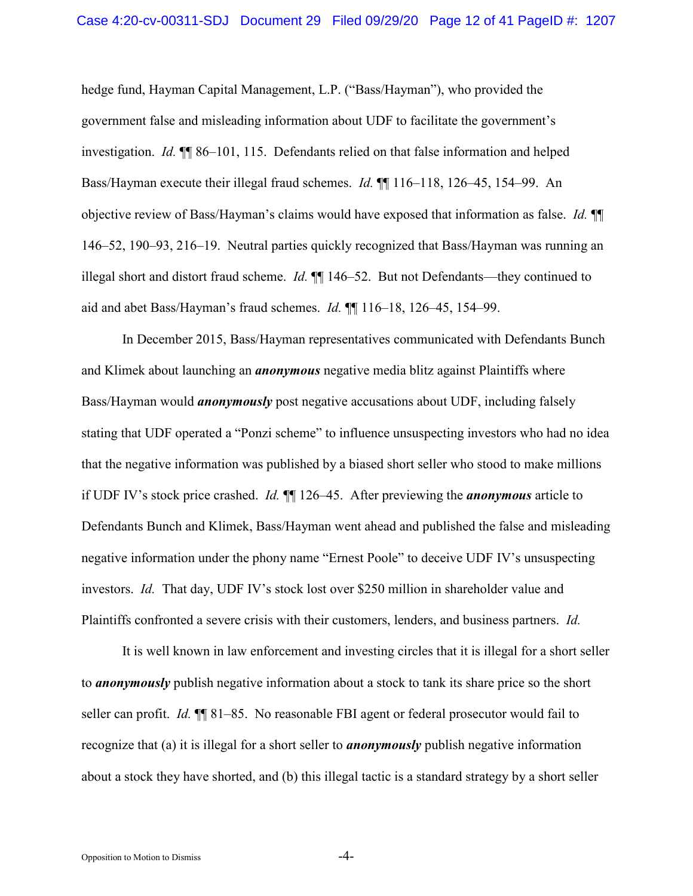hedge fund, Hayman Capital Management, L.P. ("Bass/Hayman"), who provided the government false and misleading information about UDF to facilitate the government's investigation. *Id.* ¶¶ 86–101, 115. Defendants relied on that false information and helped Bass/Hayman execute their illegal fraud schemes. *Id.* ¶¶ 116–118, 126–45, 154–99. An objective review of Bass/Hayman's claims would have exposed that information as false. *Id.* ¶¶ 146–52, 190–93, 216–19. Neutral parties quickly recognized that Bass/Hayman was running an illegal short and distort fraud scheme. *Id.* ¶¶ 146–52. But not Defendants—they continued to aid and abet Bass/Hayman's fraud schemes. *Id.* ¶¶ 116–18, 126–45, 154–99.

In December 2015, Bass/Hayman representatives communicated with Defendants Bunch and Klimek about launching an *anonymous* negative media blitz against Plaintiffs where Bass/Hayman would *anonymously* post negative accusations about UDF, including falsely stating that UDF operated a "Ponzi scheme" to influence unsuspecting investors who had no idea that the negative information was published by a biased short seller who stood to make millions if UDF IV's stock price crashed. *Id.* ¶¶ 126–45. After previewing the *anonymous* article to Defendants Bunch and Klimek, Bass/Hayman went ahead and published the false and misleading negative information under the phony name "Ernest Poole" to deceive UDF IV's unsuspecting investors. *Id.* That day, UDF IV's stock lost over \$250 million in shareholder value and Plaintiffs confronted a severe crisis with their customers, lenders, and business partners. *Id.*

It is well known in law enforcement and investing circles that it is illegal for a short seller to *anonymously* publish negative information about a stock to tank its share price so the short seller can profit. *Id.* ¶¶ 81–85. No reasonable FBI agent or federal prosecutor would fail to recognize that (a) it is illegal for a short seller to *anonymously* publish negative information about a stock they have shorted, and (b) this illegal tactic is a standard strategy by a short seller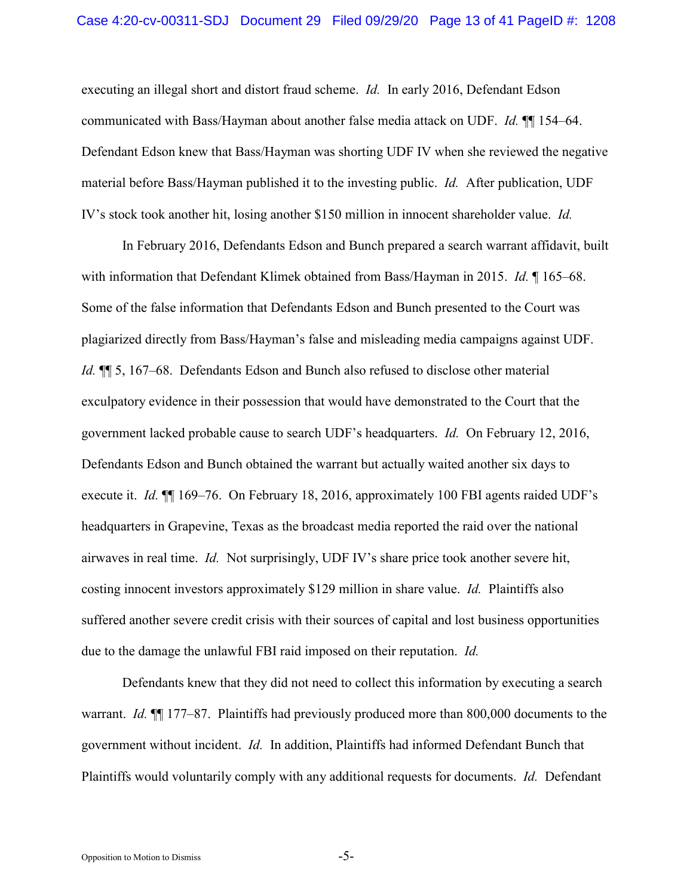executing an illegal short and distort fraud scheme. *Id.* In early 2016, Defendant Edson communicated with Bass/Hayman about another false media attack on UDF. *Id.* ¶¶ 154–64. Defendant Edson knew that Bass/Hayman was shorting UDF IV when she reviewed the negative material before Bass/Hayman published it to the investing public. *Id.* After publication, UDF IV's stock took another hit, losing another \$150 million in innocent shareholder value. *Id.* 

In February 2016, Defendants Edson and Bunch prepared a search warrant affidavit, built with information that Defendant Klimek obtained from Bass/Hayman in 2015. *Id.* ¶ 165–68. Some of the false information that Defendants Edson and Bunch presented to the Court was plagiarized directly from Bass/Hayman's false and misleading media campaigns against UDF. *Id.*  $\P$  5, 167–68. Defendants Edson and Bunch also refused to disclose other material exculpatory evidence in their possession that would have demonstrated to the Court that the government lacked probable cause to search UDF's headquarters. *Id.* On February 12, 2016, Defendants Edson and Bunch obtained the warrant but actually waited another six days to execute it. *Id.* ¶¶ 169–76. On February 18, 2016, approximately 100 FBI agents raided UDF's headquarters in Grapevine, Texas as the broadcast media reported the raid over the national airwaves in real time. *Id.* Not surprisingly, UDF IV's share price took another severe hit, costing innocent investors approximately \$129 million in share value. *Id.* Plaintiffs also suffered another severe credit crisis with their sources of capital and lost business opportunities due to the damage the unlawful FBI raid imposed on their reputation. *Id.* 

Defendants knew that they did not need to collect this information by executing a search warrant. *Id.* ¶¶ 177–87. Plaintiffs had previously produced more than 800,000 documents to the government without incident. *Id.* In addition, Plaintiffs had informed Defendant Bunch that Plaintiffs would voluntarily comply with any additional requests for documents. *Id.* Defendant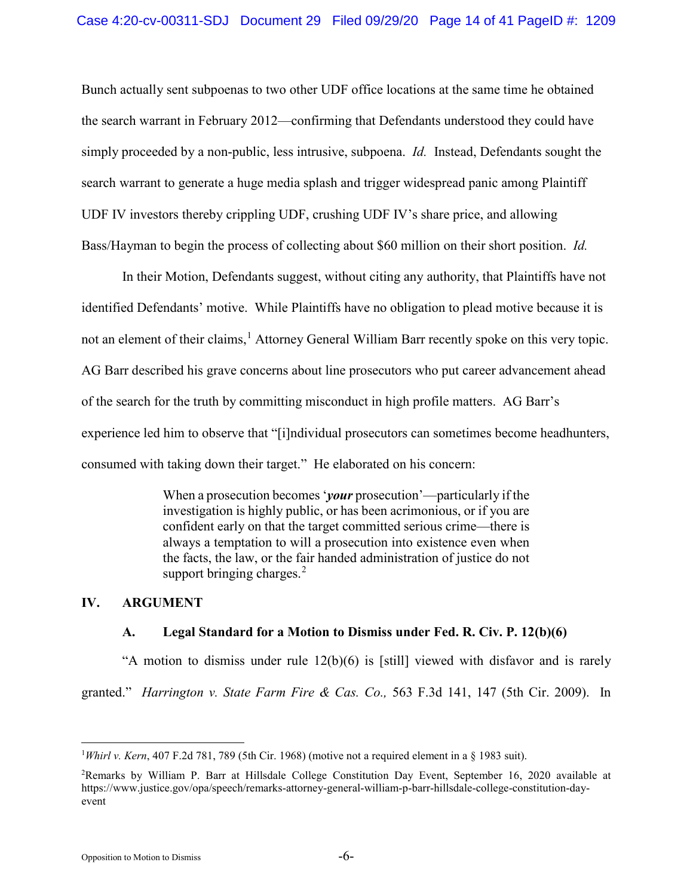Bunch actually sent subpoenas to two other UDF office locations at the same time he obtained the search warrant in February 2012—confirming that Defendants understood they could have simply proceeded by a non-public, less intrusive, subpoena. *Id.* Instead, Defendants sought the search warrant to generate a huge media splash and trigger widespread panic among Plaintiff UDF IV investors thereby crippling UDF, crushing UDF IV's share price, and allowing Bass/Hayman to begin the process of collecting about \$60 million on their short position. *Id.* 

In their Motion, Defendants suggest, without citing any authority, that Plaintiffs have not identified Defendants' motive. While Plaintiffs have no obligation to plead motive because it is not an element of their claims,<sup>[1](#page-13-2)</sup> Attorney General William Barr recently spoke on this very topic. AG Barr described his grave concerns about line prosecutors who put career advancement ahead of the search for the truth by committing misconduct in high profile matters. AG Barr's experience led him to observe that "[i]ndividual prosecutors can sometimes become headhunters, consumed with taking down their target." He elaborated on his concern:

> <span id="page-13-1"></span>When a prosecution becomes '*your* prosecution'—particularly if the investigation is highly public, or has been acrimonious, or if you are confident early on that the target committed serious crime—there is always a temptation to will a prosecution into existence even when the facts, the law, or the fair handed administration of justice do not support bringing charges. $<sup>2</sup>$  $<sup>2</sup>$  $<sup>2</sup>$ </sup>

### **IV. ARGUMENT**

# <span id="page-13-0"></span>**A. Legal Standard for a Motion to Dismiss under Fed. R. Civ. P. 12(b)(6)**

"A motion to dismiss under rule 12(b)(6) is [still] viewed with disfavor and is rarely granted." *Harrington v. State Farm Fire & Cas. Co.,* 563 F.3d 141, 147 (5th Cir. 2009). In

<span id="page-13-2"></span> $\frac{1}{1}$ *Whirl v. Kern*, 407 F.2d 781, 789 (5th Cir. 1968) (motive not a required element in a § 1983 suit).

<span id="page-13-3"></span><sup>2</sup> Remarks by William P. Barr at Hillsdale College Constitution Day Event, September 16, 2020 available at https://www.justice.gov/opa/speech/remarks-attorney-general-william-p-barr-hillsdale-college-constitution-dayevent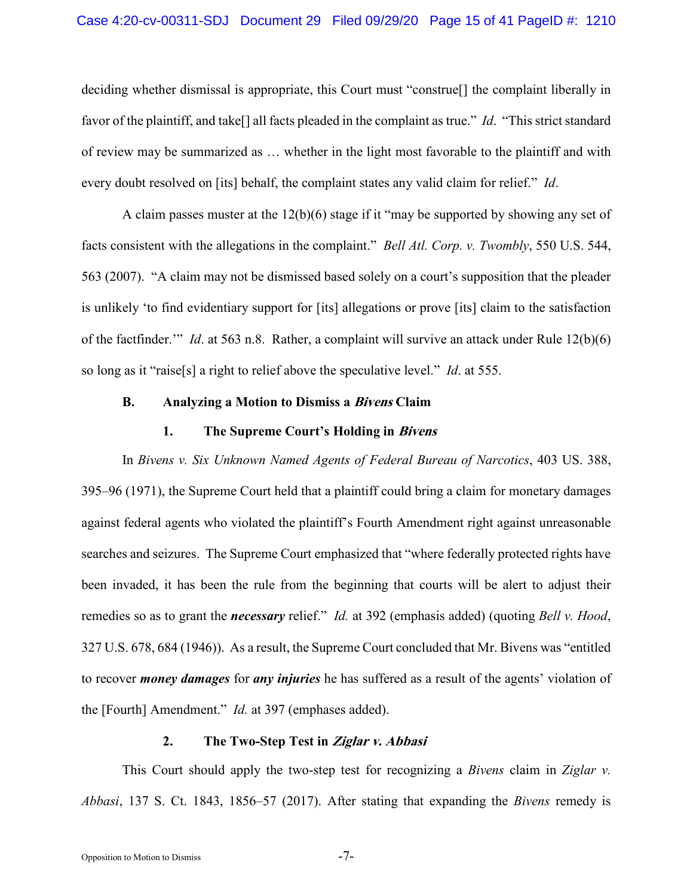<span id="page-14-1"></span>deciding whether dismissal is appropriate, this Court must "construe[] the complaint liberally in favor of the plaintiff, and take[] all facts pleaded in the complaint as true." *Id*. "This strict standard of review may be summarized as … whether in the light most favorable to the plaintiff and with every doubt resolved on [its] behalf, the complaint states any valid claim for relief." *Id*.

A claim passes muster at the 12(b)(6) stage if it "may be supported by showing any set of facts consistent with the allegations in the complaint." *Bell Atl. Corp. v. Twombly*, 550 U.S. 544, 563 (2007). "A claim may not be dismissed based solely on a court's supposition that the pleader is unlikely 'to find evidentiary support for [its] allegations or prove [its] claim to the satisfaction of the factfinder.'" *Id*. at 563 n.8. Rather, a complaint will survive an attack under Rule 12(b)(6) so long as it "raise[s] a right to relief above the speculative level." *Id*. at 555.

#### **B. Analyzing a Motion to Dismiss a Bivens Claim**

### <span id="page-14-2"></span><span id="page-14-0"></span>**1. The Supreme Court's Holding in Bivens**

In *Bivens v. Six Unknown Named Agents of Federal Bureau of Narcotics*, 403 US. 388, 395–96 (1971), the Supreme Court held that a plaintiff could bring a claim for monetary damages against federal agents who violated the plaintiff's Fourth Amendment right against unreasonable searches and seizures. The Supreme Court emphasized that "where federally protected rights have been invaded, it has been the rule from the beginning that courts will be alert to adjust their remedies so as to grant the *necessary* relief." *Id.* at 392 (emphasis added) (quoting *Bell v. Hood*, 327 U.S. 678, 684 (1946)). As a result, the Supreme Court concluded that Mr. Bivens was "entitled to recover *money damages* for *any injuries* he has suffered as a result of the agents' violation of the [Fourth] Amendment." *Id.* at 397 (emphases added).

# **2. The Two-Step Test in Ziglar v. Abbasi**

This Court should apply the two-step test for recognizing a *Bivens* claim in *Ziglar v. Abbasi*, 137 S. Ct. 1843, 1856–57 (2017). After stating that expanding the *Bivens* remedy is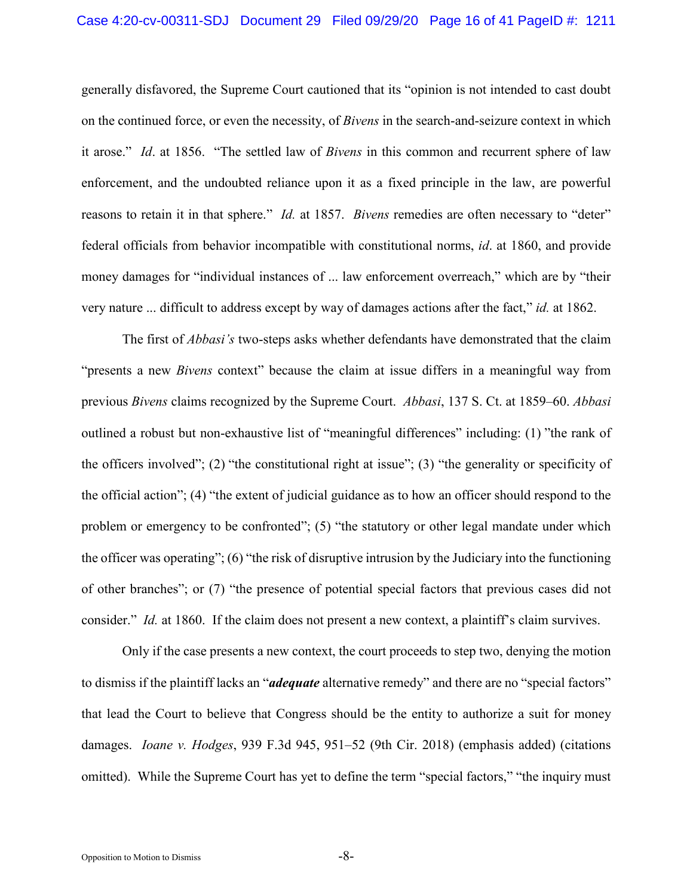generally disfavored, the Supreme Court cautioned that its "opinion is not intended to cast doubt on the continued force, or even the necessity, of *Bivens* in the search-and-seizure context in which it arose." *Id*. at 1856. "The settled law of *Bivens* in this common and recurrent sphere of law enforcement, and the undoubted reliance upon it as a fixed principle in the law, are powerful reasons to retain it in that sphere." *Id.* at 1857. *Bivens* remedies are often necessary to "deter" federal officials from behavior incompatible with constitutional norms, *id*. at 1860, and provide money damages for "individual instances of ... law enforcement overreach," which are by "their very nature ... difficult to address except by way of damages actions after the fact," *id.* at 1862.

The first of *Abbasi's* two-steps asks whether defendants have demonstrated that the claim "presents a new *Bivens* context" because the claim at issue differs in a meaningful way from previous *Bivens* claims recognized by the Supreme Court. *Abbasi*, 137 S. Ct. at 1859–60. *Abbasi* outlined a robust but non-exhaustive list of "meaningful differences" including: (1) "the rank of the officers involved"; (2) "the constitutional right at issue"; (3) "the generality or specificity of the official action"; (4) "the extent of judicial guidance as to how an officer should respond to the problem or emergency to be confronted"; (5) "the statutory or other legal mandate under which the officer was operating"; (6) "the risk of disruptive intrusion by the Judiciary into the functioning of other branches"; or (7) "the presence of potential special factors that previous cases did not consider." *Id.* at 1860. If the claim does not present a new context, a plaintiff's claim survives.

<span id="page-15-0"></span>Only if the case presents a new context, the court proceeds to step two, denying the motion to dismiss if the plaintiff lacks an "*adequate* alternative remedy" and there are no "special factors" that lead the Court to believe that Congress should be the entity to authorize a suit for money damages. *Ioane v. Hodges*, 939 F.3d 945, 951–52 (9th Cir. 2018) (emphasis added) (citations omitted). While the Supreme Court has yet to define the term "special factors," "the inquiry must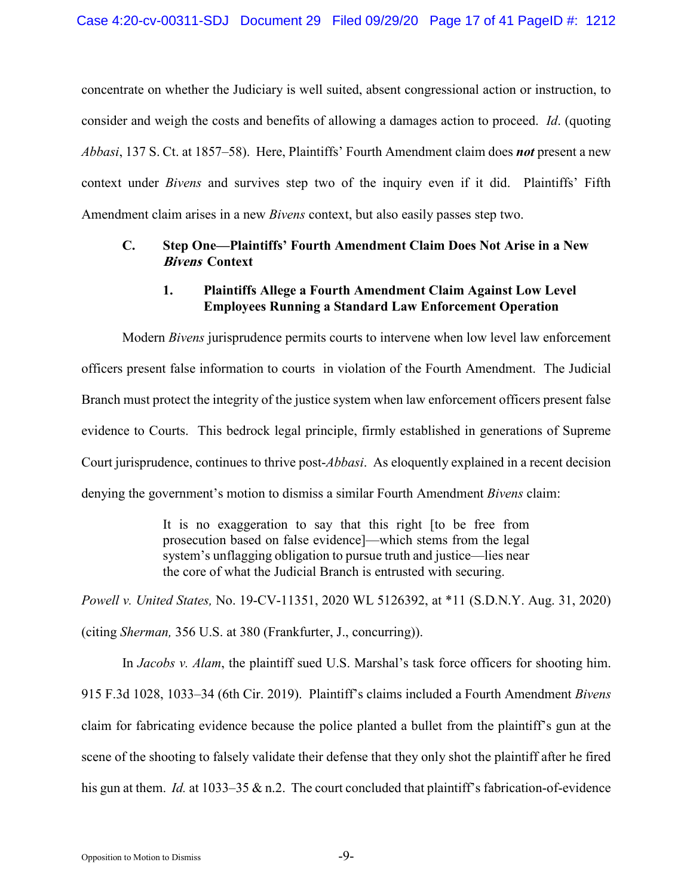concentrate on whether the Judiciary is well suited, absent congressional action or instruction, to consider and weigh the costs and benefits of allowing a damages action to proceed. *Id*. (quoting *Abbasi*, 137 S. Ct. at 1857–58). Here, Plaintiffs' Fourth Amendment claim does *not* present a new context under *Bivens* and survives step two of the inquiry even if it did. Plaintiffs' Fifth Amendment claim arises in a new *Bivens* context, but also easily passes step two.

## **C. Step One—Plaintiffs' Fourth Amendment Claim Does Not Arise in a New Bivens Context**

## <span id="page-16-0"></span>**1. Plaintiffs Allege a Fourth Amendment Claim Against Low Level Employees Running a Standard Law Enforcement Operation**

Modern *Bivens* jurisprudence permits courts to intervene when low level law enforcement officers present false information to courts in violation of the Fourth Amendment. The Judicial Branch must protect the integrity of the justice system when law enforcement officers present false evidence to Courts. This bedrock legal principle, firmly established in generations of Supreme Court jurisprudence, continues to thrive post-*Abbasi*. As eloquently explained in a recent decision denying the government's motion to dismiss a similar Fourth Amendment *Bivens* claim:

> It is no exaggeration to say that this right [to be free from prosecution based on false evidence]—which stems from the legal system's unflagging obligation to pursue truth and justice—lies near the core of what the Judicial Branch is entrusted with securing.

*Powell v. United States,* No. 19-CV-11351, 2020 WL 5126392, at \*11 (S.D.N.Y. Aug. 31, 2020) (citing *Sherman,* 356 U.S. at 380 (Frankfurter, J., concurring)).

In *Jacobs v. Alam*, the plaintiff sued U.S. Marshal's task force officers for shooting him. 915 F.3d 1028, 1033–34 (6th Cir. 2019). Plaintiff's claims included a Fourth Amendment *Bivens*  claim for fabricating evidence because the police planted a bullet from the plaintiff's gun at the scene of the shooting to falsely validate their defense that they only shot the plaintiff after he fired his gun at them. *Id.* at 1033–35 & n.2. The court concluded that plaintiff's fabrication-of-evidence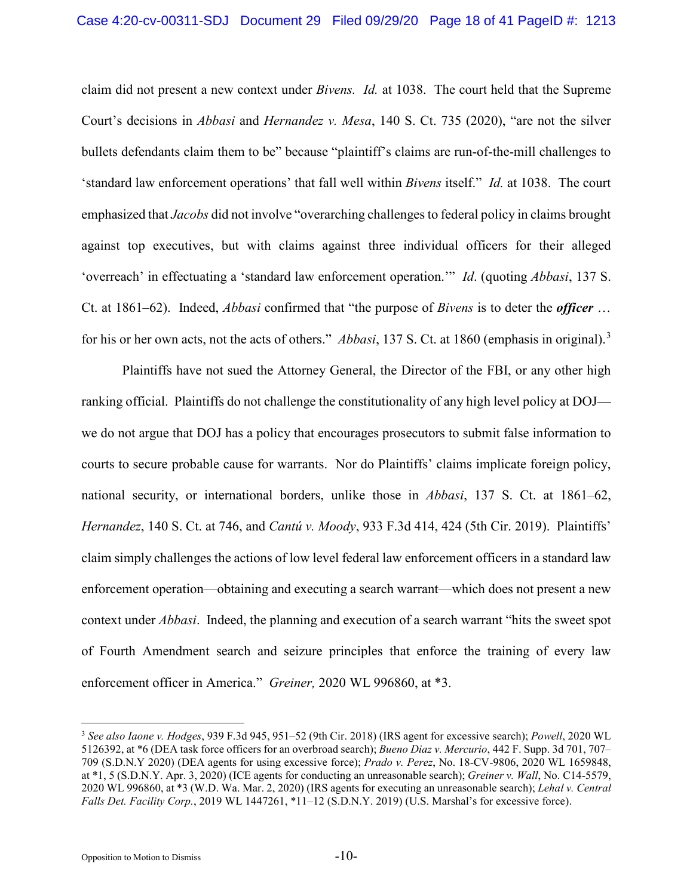<span id="page-17-1"></span>claim did not present a new context under *Bivens. Id.* at 1038. The court held that the Supreme Court's decisions in *Abbasi* and *Hernandez v. Mesa*, 140 S. Ct. 735 (2020), "are not the silver bullets defendants claim them to be" because "plaintiff's claims are run-of-the-mill challenges to 'standard law enforcement operations' that fall well within *Bivens* itself." *Id.* at 1038.The court emphasized that *Jacobs* did not involve "overarching challenges to federal policy in claims brought against top executives, but with claims against three individual officers for their alleged 'overreach' in effectuating a 'standard law enforcement operation.'" *Id*. (quoting *Abbasi*, 137 S. Ct. at 1861–62). Indeed, *Abbasi* confirmed that "the purpose of *Bivens* is to deter the *officer* … for his or her own acts, not the acts of others." *Abbasi*, 137 S. Ct. at 1860 (emphasis in original).[3](#page-17-5)

Plaintiffs have not sued the Attorney General, the Director of the FBI, or any other high ranking official. Plaintiffs do not challenge the constitutionality of any high level policy at DOJ we do not argue that DOJ has a policy that encourages prosecutors to submit false information to courts to secure probable cause for warrants. Nor do Plaintiffs' claims implicate foreign policy, national security, or international borders, unlike those in *Abbasi*, 137 S. Ct. at 1861–62, *Hernandez*, 140 S. Ct. at 746, and *Cantú v. Moody*, 933 F.3d 414, 424 (5th Cir. 2019). Plaintiffs' claim simply challenges the actions of low level federal law enforcement officers in a standard law enforcement operation—obtaining and executing a search warrant—which does not present a new context under *Abbasi*. Indeed, the planning and execution of a search warrant "hits the sweet spot of Fourth Amendment search and seizure principles that enforce the training of every law enforcement officer in America." *Greiner,* 2020 WL 996860, at \*3.

<span id="page-17-5"></span><span id="page-17-4"></span><span id="page-17-3"></span><span id="page-17-2"></span><span id="page-17-0"></span> <sup>3</sup> *See also Iaone v. Hodges*, 939 F.3d 945, 951–52 (9th Cir. 2018) (IRS agent for excessive search); *Powell*, 2020 WL 5126392, at \*6 (DEA task force officers for an overbroad search); *Bueno Diaz v. Mercurio*, 442 F. Supp. 3d 701, 707– 709 (S.D.N.Y 2020) (DEA agents for using excessive force); *Prado v. Perez*, No. 18-CV-9806, 2020 WL 1659848, at \*1, 5 (S.D.N.Y. Apr. 3, 2020) (ICE agents for conducting an unreasonable search); *Greiner v. Wall*, No. C14-5579, 2020 WL 996860, at \*3 (W.D. Wa. Mar. 2, 2020) (IRS agents for executing an unreasonable search); *Lehal v. Central Falls Det. Facility Corp.*, 2019 WL 1447261, \*11–12 (S.D.N.Y. 2019) (U.S. Marshal's for excessive force).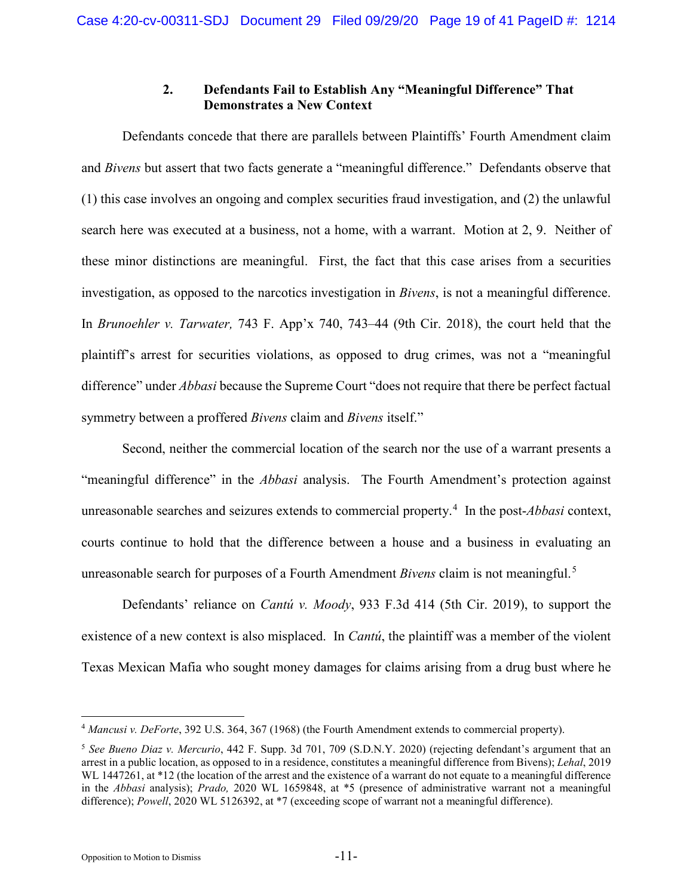## **2. Defendants Fail to Establish Any "Meaningful Difference" That Demonstrates a New Context**

Defendants concede that there are parallels between Plaintiffs' Fourth Amendment claim and *Bivens* but assert that two facts generate a "meaningful difference." Defendants observe that (1) this case involves an ongoing and complex securities fraud investigation, and (2) the unlawful search here was executed at a business, not a home, with a warrant. Motion at 2, 9. Neither of these minor distinctions are meaningful. First, the fact that this case arises from a securities investigation, as opposed to the narcotics investigation in *Bivens*, is not a meaningful difference. In *Brunoehler v. Tarwater,* 743 F. App'x 740, 743–44 (9th Cir. 2018), the court held that the plaintiff's arrest for securities violations, as opposed to drug crimes, was not a "meaningful difference" under *Abbasi* because the Supreme Court "does not require that there be perfect factual symmetry between a proffered *Bivens* claim and *Bivens* itself."

<span id="page-18-0"></span>Second, neither the commercial location of the search nor the use of a warrant presents a "meaningful difference" in the *Abbasi* analysis. The Fourth Amendment's protection against unreasonable searches and seizures extends to commercial property.[4](#page-18-4) In the post-*Abbasi* context, courts continue to hold that the difference between a house and a business in evaluating an unreasonable search for purposes of a Fourth Amendment *Bivens* claim is not meaningful.[5](#page-18-5)

Defendants' reliance on *Cantú v. Moody*, 933 F.3d 414 (5th Cir. 2019), to support the existence of a new context is also misplaced. In *Cantú*, the plaintiff was a member of the violent Texas Mexican Mafia who sought money damages for claims arising from a drug bust where he

<span id="page-18-4"></span><span id="page-18-2"></span> <sup>4</sup> *Mancusi v. DeForte*, 392 U.S. 364, 367 (1968) (the Fourth Amendment extends to commercial property).

<span id="page-18-5"></span><span id="page-18-3"></span><span id="page-18-1"></span><sup>5</sup> *See Bueno Diaz v. Mercurio*, 442 F. Supp. 3d 701, 709 (S.D.N.Y. 2020) (rejecting defendant's argument that an arrest in a public location, as opposed to in a residence, constitutes a meaningful difference from Bivens); *Lehal*, 2019 WL 1447261, at \*12 (the location of the arrest and the existence of a warrant do not equate to a meaningful difference in the *Abbasi* analysis); *Prado,* 2020 WL 1659848, at \*5 (presence of administrative warrant not a meaningful difference); *Powell*, 2020 WL 5126392, at \*7 (exceeding scope of warrant not a meaningful difference).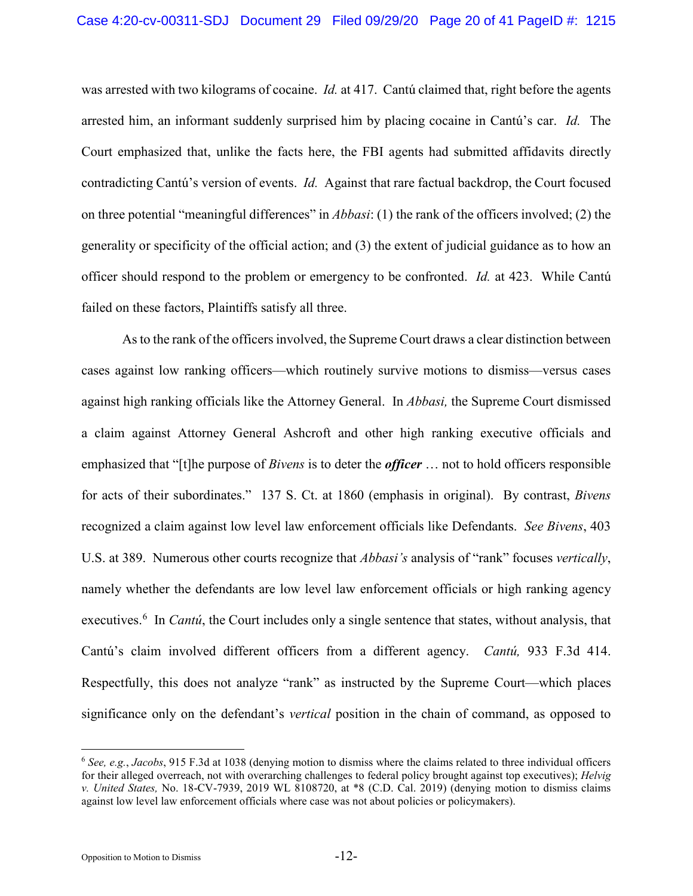was arrested with two kilograms of cocaine. *Id.* at 417. Cantú claimed that, right before the agents arrested him, an informant suddenly surprised him by placing cocaine in Cantú's car. *Id.* The Court emphasized that, unlike the facts here, the FBI agents had submitted affidavits directly contradicting Cantú's version of events. *Id.* Against that rare factual backdrop, the Court focused on three potential "meaningful differences" in *Abbasi*: (1) the rank of the officers involved; (2) the generality or specificity of the official action; and (3) the extent of judicial guidance as to how an officer should respond to the problem or emergency to be confronted. *Id.* at 423. While Cantú failed on these factors, Plaintiffs satisfy all three.

As to the rank of the officers involved, the Supreme Court draws a clear distinction between cases against low ranking officers—which routinely survive motions to dismiss—versus cases against high ranking officials like the Attorney General. In *Abbasi,* the Supreme Court dismissed a claim against Attorney General Ashcroft and other high ranking executive officials and emphasized that "[t]he purpose of *Bivens* is to deter the *officer* … not to hold officers responsible for acts of their subordinates." 137 S. Ct. at 1860 (emphasis in original). By contrast, *Bivens* recognized a claim against low level law enforcement officials like Defendants. *See Bivens*, 403 U.S. at 389. Numerous other courts recognize that *Abbasi's* analysis of "rank" focuses *vertically*, namely whether the defendants are low level law enforcement officials or high ranking agency executives.<sup>[6](#page-19-1)</sup> In *Cantú*, the Court includes only a single sentence that states, without analysis, that Cantú's claim involved different officers from a different agency. *Cantú,* 933 F.3d 414. Respectfully, this does not analyze "rank" as instructed by the Supreme Court—which places significance only on the defendant's *vertical* position in the chain of command, as opposed to

<span id="page-19-1"></span><span id="page-19-0"></span> <sup>6</sup> *See, e.g.*, *Jacobs*, 915 F.3d at 1038 (denying motion to dismiss where the claims related to three individual officers for their alleged overreach, not with overarching challenges to federal policy brought against top executives); *Helvig v. United States,* No. 18-CV-7939, 2019 WL 8108720, at \*8 (C.D. Cal. 2019) (denying motion to dismiss claims against low level law enforcement officials where case was not about policies or policymakers).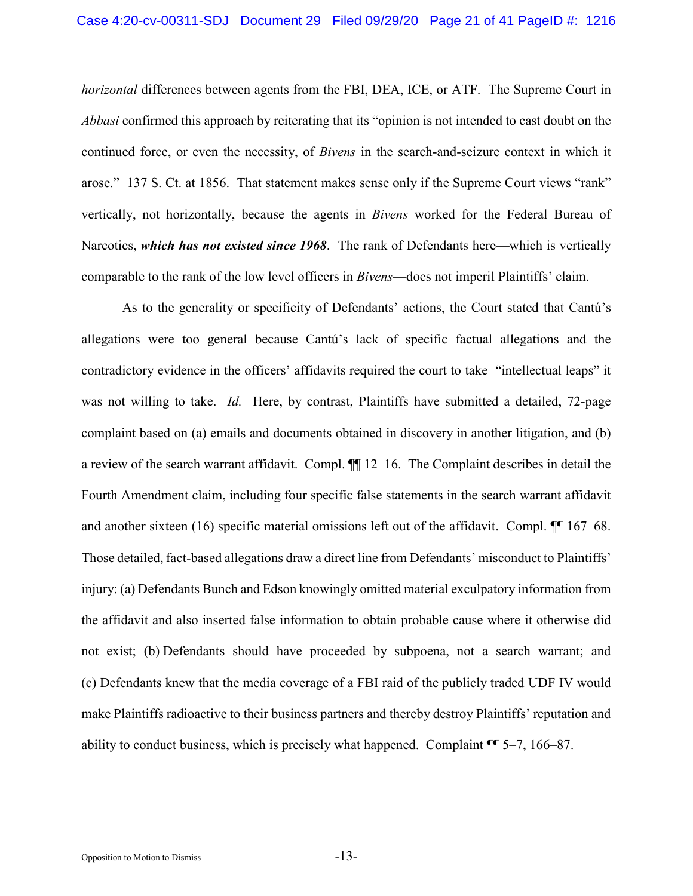*horizontal* differences between agents from the FBI, DEA, ICE, or ATF. The Supreme Court in *Abbasi* confirmed this approach by reiterating that its "opinion is not intended to cast doubt on the continued force, or even the necessity, of *Bivens* in the search-and-seizure context in which it arose." 137 S. Ct. at 1856. That statement makes sense only if the Supreme Court views "rank" vertically, not horizontally, because the agents in *Bivens* worked for the Federal Bureau of Narcotics, *which has not existed since 1968*. The rank of Defendants here—which is vertically comparable to the rank of the low level officers in *Bivens*—does not imperil Plaintiffs' claim.

As to the generality or specificity of Defendants' actions, the Court stated that Cantú's allegations were too general because Cantú's lack of specific factual allegations and the contradictory evidence in the officers' affidavits required the court to take "intellectual leaps" it was not willing to take. *Id.* Here, by contrast, Plaintiffs have submitted a detailed, 72-page complaint based on (a) emails and documents obtained in discovery in another litigation, and (b) a review of the search warrant affidavit. Compl. ¶¶ 12–16. The Complaint describes in detail the Fourth Amendment claim, including four specific false statements in the search warrant affidavit and another sixteen (16) specific material omissions left out of the affidavit. Compl. ¶¶ 167–68. Those detailed, fact-based allegations draw a direct line from Defendants' misconduct to Plaintiffs' injury: (a) Defendants Bunch and Edson knowingly omitted material exculpatory information from the affidavit and also inserted false information to obtain probable cause where it otherwise did not exist; (b) Defendants should have proceeded by subpoena, not a search warrant; and (c) Defendants knew that the media coverage of a FBI raid of the publicly traded UDF IV would make Plaintiffs radioactive to their business partners and thereby destroy Plaintiffs' reputation and ability to conduct business, which is precisely what happened. Complaint ¶¶ 5–7, 166–87.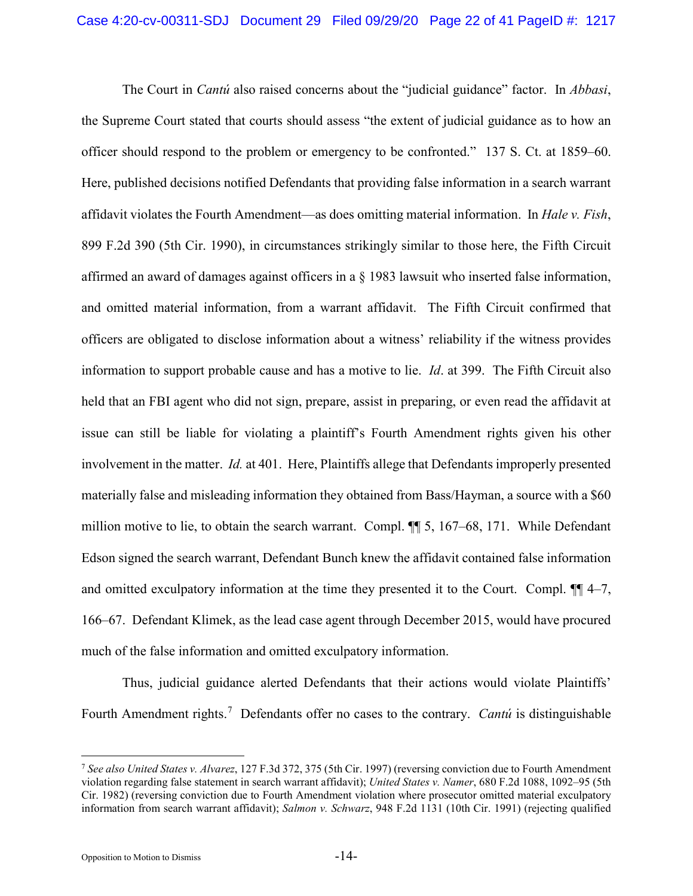<span id="page-21-0"></span>The Court in *Cantú* also raised concerns about the "judicial guidance" factor. In *Abbasi*, the Supreme Court stated that courts should assess "the extent of judicial guidance as to how an officer should respond to the problem or emergency to be confronted." 137 S. Ct. at 1859–60. Here, published decisions notified Defendants that providing false information in a search warrant affidavit violates the Fourth Amendment—as does omitting material information. In *Hale v. Fish*, 899 F.2d 390 (5th Cir. 1990), in circumstances strikingly similar to those here, the Fifth Circuit affirmed an award of damages against officers in a § 1983 lawsuit who inserted false information, and omitted material information, from a warrant affidavit. The Fifth Circuit confirmed that officers are obligated to disclose information about a witness' reliability if the witness provides information to support probable cause and has a motive to lie. *Id*. at 399. The Fifth Circuit also held that an FBI agent who did not sign, prepare, assist in preparing, or even read the affidavit at issue can still be liable for violating a plaintiff's Fourth Amendment rights given his other involvement in the matter. *Id.* at 401. Here, Plaintiffs allege that Defendants improperly presented materially false and misleading information they obtained from Bass/Hayman, a source with a \$60 million motive to lie, to obtain the search warrant. Compl. ¶¶ 5, 167–68, 171. While Defendant Edson signed the search warrant, Defendant Bunch knew the affidavit contained false information and omitted exculpatory information at the time they presented it to the Court. Compl. ¶¶ 4–7, 166–67. Defendant Klimek, as the lead case agent through December 2015, would have procured much of the false information and omitted exculpatory information.

Thus, judicial guidance alerted Defendants that their actions would violate Plaintiffs' Fourth Amendment rights.<sup>[7](#page-21-4)</sup> Defendants offer no cases to the contrary. *Cantú* is distinguishable

<span id="page-21-4"></span><span id="page-21-3"></span><span id="page-21-2"></span><span id="page-21-1"></span> <sup>7</sup> *See also United States v. Alvarez*, 127 F.3d 372, 375 (5th Cir. 1997) (reversing conviction due to Fourth Amendment violation regarding false statement in search warrant affidavit); *United States v. Namer*, 680 F.2d 1088, 1092–95 (5th Cir. 1982) (reversing conviction due to Fourth Amendment violation where prosecutor omitted material exculpatory information from search warrant affidavit); *Salmon v. Schwarz*, 948 F.2d 1131 (10th Cir. 1991) (rejecting qualified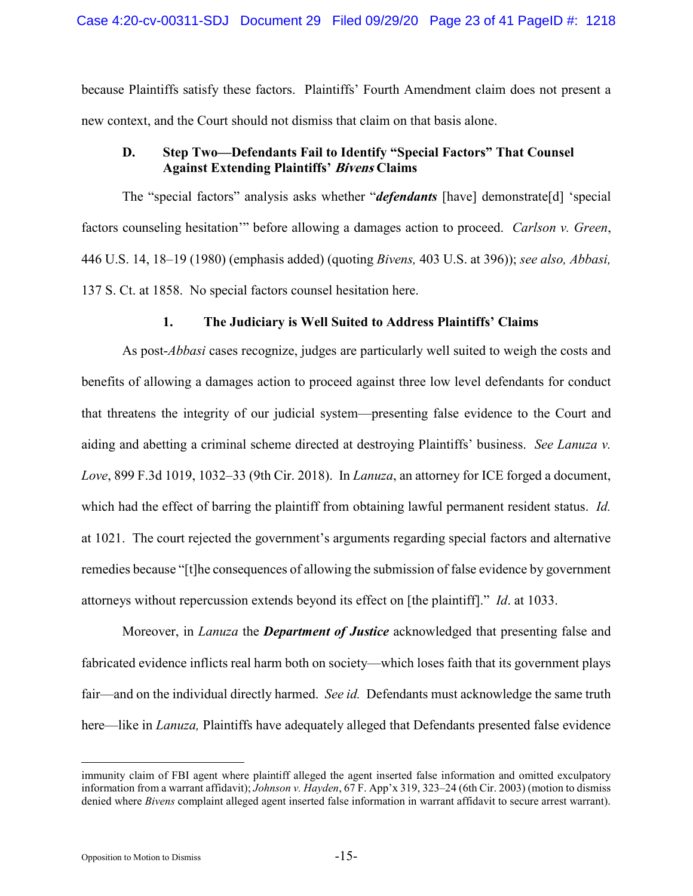because Plaintiffs satisfy these factors. Plaintiffs' Fourth Amendment claim does not present a new context, and the Court should not dismiss that claim on that basis alone.

# **D. Step Two—Defendants Fail to Identify "Special Factors" That Counsel Against Extending Plaintiffs' Bivens Claims**

The "special factors" analysis asks whether "*defendants* [have] demonstrate[d] 'special factors counseling hesitation'" before allowing a damages action to proceed. *Carlson v. Green*, 446 U.S. 14, 18–19 (1980) (emphasis added) (quoting *Bivens,* 403 U.S. at 396)); *see also, Abbasi,*  137 S. Ct. at 1858. No special factors counsel hesitation here.

# <span id="page-22-1"></span>**1. The Judiciary is Well Suited to Address Plaintiffs' Claims**

As post-*Abbasi* cases recognize, judges are particularly well suited to weigh the costs and benefits of allowing a damages action to proceed against three low level defendants for conduct that threatens the integrity of our judicial system—presenting false evidence to the Court and aiding and abetting a criminal scheme directed at destroying Plaintiffs' business. *See Lanuza v. Love*, 899 F.3d 1019, 1032–33 (9th Cir. 2018). In *Lanuza*, an attorney for ICE forged a document, which had the effect of barring the plaintiff from obtaining lawful permanent resident status. *Id.*  at 1021. The court rejected the government's arguments regarding special factors and alternative remedies because "[t]he consequences of allowing the submission of false evidence by government attorneys without repercussion extends beyond its effect on [the plaintiff]." *Id*. at 1033.

Moreover, in *Lanuza* the *Department of Justice* acknowledged that presenting false and fabricated evidence inflicts real harm both on society—which loses faith that its government plays fair—and on the individual directly harmed. *See id.* Defendants must acknowledge the same truth here—like in *Lanuza,* Plaintiffs have adequately alleged that Defendants presented false evidence

<span id="page-22-0"></span>immunity claim of FBI agent where plaintiff alleged the agent inserted false information and omitted exculpatory information from a warrant affidavit); *Johnson v. Hayden*, 67 F. App'x 319, 323–24 (6th Cir. 2003) (motion to dismiss denied where *Bivens* complaint alleged agent inserted false information in warrant affidavit to secure arrest warrant).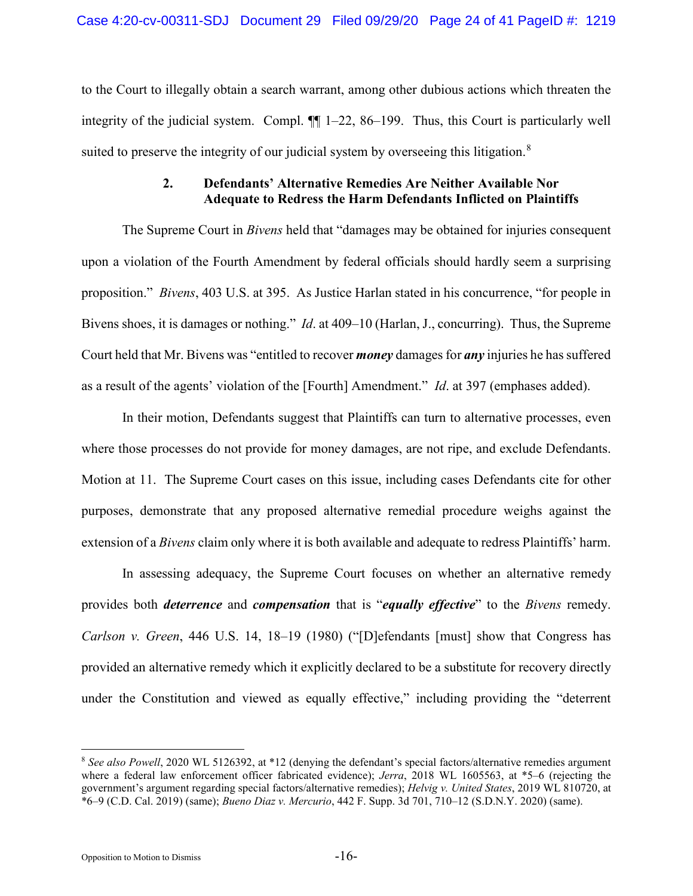to the Court to illegally obtain a search warrant, among other dubious actions which threaten the integrity of the judicial system. Compl.  $\P$ [ 1–22, 86–199. Thus, this Court is particularly well suited to preserve the integrity of our judicial system by overseeing this litigation. $8$ 

# **2. Defendants' Alternative Remedies Are Neither Available Nor Adequate to Redress the Harm Defendants Inflicted on Plaintiffs**

The Supreme Court in *Bivens* held that "damages may be obtained for injuries consequent upon a violation of the Fourth Amendment by federal officials should hardly seem a surprising proposition." *Bivens*, 403 U.S. at 395. As Justice Harlan stated in his concurrence, "for people in Bivens shoes, it is damages or nothing." *Id*. at 409–10 (Harlan, J., concurring). Thus, the Supreme Court held that Mr. Bivens was "entitled to recover *money* damages for *any* injuries he has suffered as a result of the agents' violation of the [Fourth] Amendment." *Id*. at 397 (emphases added).

In their motion, Defendants suggest that Plaintiffs can turn to alternative processes, even where those processes do not provide for money damages, are not ripe, and exclude Defendants. Motion at 11. The Supreme Court cases on this issue, including cases Defendants cite for other purposes, demonstrate that any proposed alternative remedial procedure weighs against the extension of a *Bivens* claim only where it is both available and adequate to redress Plaintiffs' harm.

In assessing adequacy, the Supreme Court focuses on whether an alternative remedy provides both *deterrence* and *compensation* that is "*equally effective*" to the *Bivens* remedy. *Carlson v. Green*, 446 U.S. 14, 18–19 (1980) ("[D]efendants [must] show that Congress has provided an alternative remedy which it explicitly declared to be a substitute for recovery directly under the Constitution and viewed as equally effective," including providing the "deterrent

<span id="page-23-2"></span><span id="page-23-1"></span><span id="page-23-0"></span> <sup>8</sup> *See also Powell*, 2020 WL 5126392, at \*12 (denying the defendant's special factors/alternative remedies argument where a federal law enforcement officer fabricated evidence); *Jerra*, 2018 WL 1605563, at \*5–6 (rejecting the government's argument regarding special factors/alternative remedies); *Helvig v. United States*, 2019 WL 810720, at \*6–9 (C.D. Cal. 2019) (same); *Bueno Diaz v. Mercurio*, 442 F. Supp. 3d 701, 710–12 (S.D.N.Y. 2020) (same).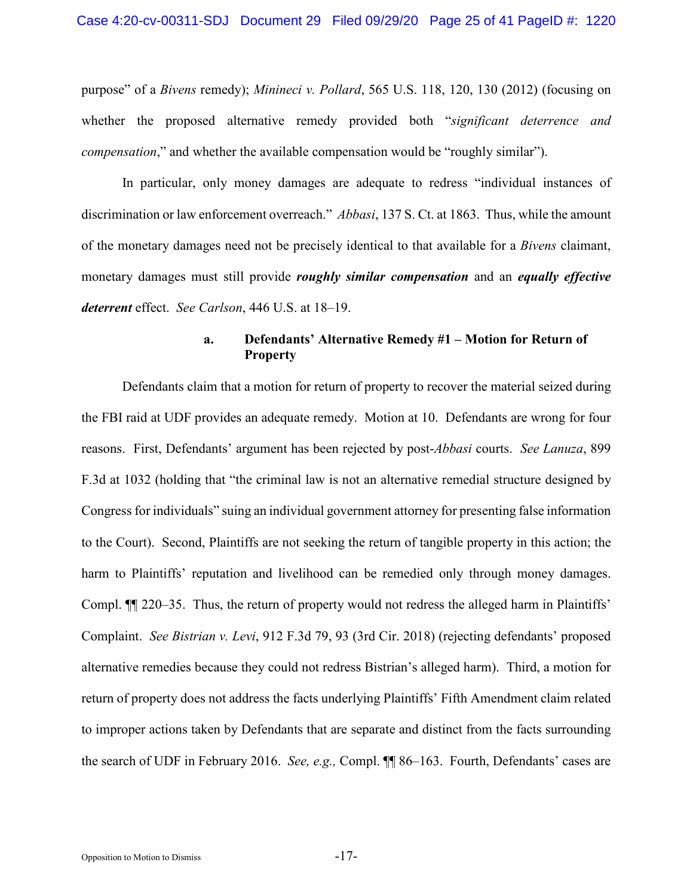<span id="page-24-2"></span>purpose" of a *Bivens* remedy); *Minineci v. Pollard*, 565 U.S. 118, 120, 130 (2012) (focusing on whether the proposed alternative remedy provided both "*significant deterrence and compensation*," and whether the available compensation would be "roughly similar").

In particular, only money damages are adequate to redress "individual instances of discrimination or law enforcement overreach." *Abbasi*, 137 S. Ct. at 1863.Thus, while the amount of the monetary damages need not be precisely identical to that available for a *Bivens* claimant, monetary damages must still provide *roughly similar compensation* and an *equally effective deterrent* effect. *See Carlson*, 446 U.S. at 18–19.

# <span id="page-24-1"></span>**a. Defendants' Alternative Remedy #1 – Motion for Return of Property**

<span id="page-24-0"></span>Defendants claim that a motion for return of property to recover the material seized during the FBI raid at UDF provides an adequate remedy. Motion at 10. Defendants are wrong for four reasons. First, Defendants' argument has been rejected by post-*Abbasi* courts. *See Lanuza*, 899 F.3d at 1032 (holding that "the criminal law is not an alternative remedial structure designed by Congress for individuals" suing an individual government attorney for presenting false information to the Court). Second, Plaintiffs are not seeking the return of tangible property in this action; the harm to Plaintiffs' reputation and livelihood can be remedied only through money damages. Compl. ¶¶ 220–35. Thus, the return of property would not redress the alleged harm in Plaintiffs' Complaint. *See Bistrian v. Levi*, 912 F.3d 79, 93 (3rd Cir. 2018) (rejecting defendants' proposed alternative remedies because they could not redress Bistrian's alleged harm). Third, a motion for return of property does not address the facts underlying Plaintiffs' Fifth Amendment claim related to improper actions taken by Defendants that are separate and distinct from the facts surrounding the search of UDF in February 2016. *See, e.g.,* Compl. ¶¶ 86–163. Fourth, Defendants' cases are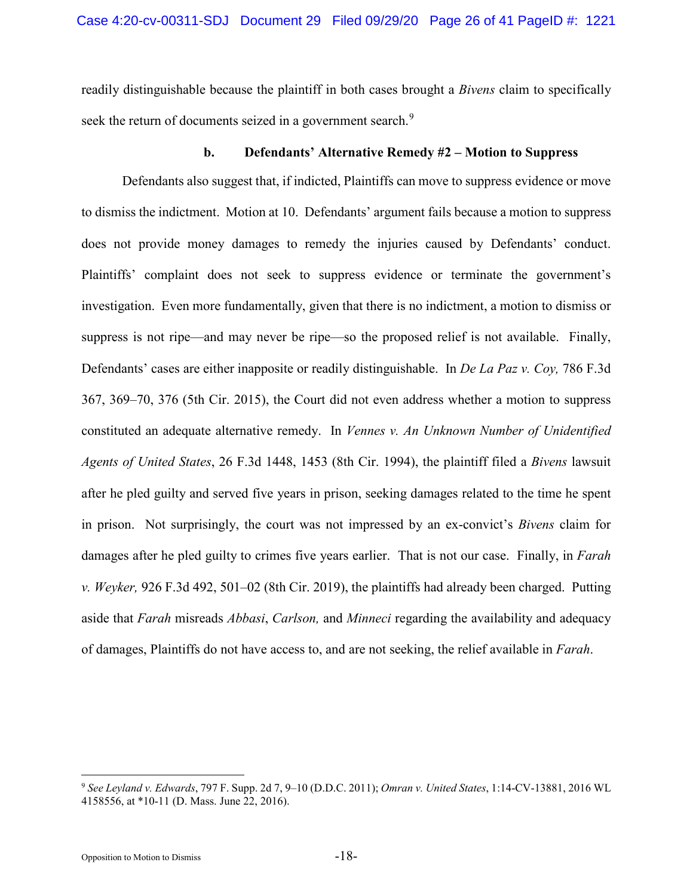readily distinguishable because the plaintiff in both cases brought a *Bivens* claim to specifically seek the return of documents seized in a government search.<sup>[9](#page-25-5)</sup>

### <span id="page-25-4"></span><span id="page-25-1"></span><span id="page-25-0"></span>**b. Defendants' Alternative Remedy #2 – Motion to Suppress**

Defendants also suggest that, if indicted, Plaintiffs can move to suppress evidence or move to dismiss the indictment. Motion at 10. Defendants' argument fails because a motion to suppress does not provide money damages to remedy the injuries caused by Defendants' conduct. Plaintiffs' complaint does not seek to suppress evidence or terminate the government's investigation. Even more fundamentally, given that there is no indictment, a motion to dismiss or suppress is not ripe—and may never be ripe—so the proposed relief is not available. Finally, Defendants' cases are either inapposite or readily distinguishable. In *De La Paz v. Coy,* 786 F.3d 367, 369–70, 376 (5th Cir. 2015), the Court did not even address whether a motion to suppress constituted an adequate alternative remedy. In *Vennes v. An Unknown Number of Unidentified Agents of United States*, 26 F.3d 1448, 1453 (8th Cir. 1994), the plaintiff filed a *Bivens* lawsuit after he pled guilty and served five years in prison, seeking damages related to the time he spent in prison. Not surprisingly, the court was not impressed by an ex-convict's *Bivens* claim for damages after he pled guilty to crimes five years earlier. That is not our case. Finally, in *Farah v. Weyker,* 926 F.3d 492, 501–02 (8th Cir. 2019), the plaintiffs had already been charged. Putting aside that *Farah* misreads *Abbasi*, *Carlson,* and *Minneci* regarding the availability and adequacy of damages, Plaintiffs do not have access to, and are not seeking, the relief available in *Farah*.

<span id="page-25-5"></span><span id="page-25-3"></span><span id="page-25-2"></span> <sup>9</sup> *See Leyland v. Edwards*, 797 F. Supp. 2d 7, 9–10 (D.D.C. 2011); *Omran v. United States*, 1:14-CV-13881, 2016 WL 4158556, at \*10-11 (D. Mass. June 22, 2016).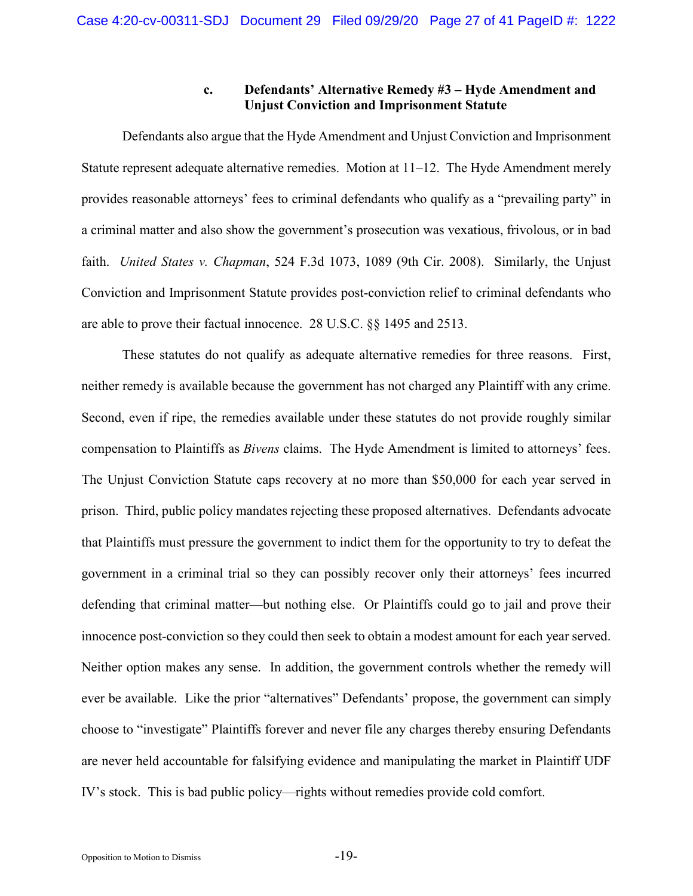## **c. Defendants' Alternative Remedy #3 – Hyde Amendment and Unjust Conviction and Imprisonment Statute**

Defendants also argue that the Hyde Amendment and Unjust Conviction and Imprisonment Statute represent adequate alternative remedies. Motion at 11–12. The Hyde Amendment merely provides reasonable attorneys' fees to criminal defendants who qualify as a "prevailing party" in a criminal matter and also show the government's prosecution was vexatious, frivolous, or in bad faith. *United States v. Chapman*, 524 F.3d 1073, 1089 (9th Cir. 2008). Similarly, the Unjust Conviction and Imprisonment Statute provides post-conviction relief to criminal defendants who are able to prove their factual innocence. 28 U.S.C. §§ 1495 and 2513.

<span id="page-26-1"></span><span id="page-26-0"></span>These statutes do not qualify as adequate alternative remedies for three reasons. First, neither remedy is available because the government has not charged any Plaintiff with any crime. Second, even if ripe, the remedies available under these statutes do not provide roughly similar compensation to Plaintiffs as *Bivens* claims. The Hyde Amendment is limited to attorneys' fees. The Unjust Conviction Statute caps recovery at no more than \$50,000 for each year served in prison. Third, public policy mandates rejecting these proposed alternatives. Defendants advocate that Plaintiffs must pressure the government to indict them for the opportunity to try to defeat the government in a criminal trial so they can possibly recover only their attorneys' fees incurred defending that criminal matter—but nothing else. Or Plaintiffs could go to jail and prove their innocence post-conviction so they could then seek to obtain a modest amount for each year served. Neither option makes any sense. In addition, the government controls whether the remedy will ever be available. Like the prior "alternatives" Defendants' propose, the government can simply choose to "investigate" Plaintiffs forever and never file any charges thereby ensuring Defendants are never held accountable for falsifying evidence and manipulating the market in Plaintiff UDF IV's stock. This is bad public policy—rights without remedies provide cold comfort.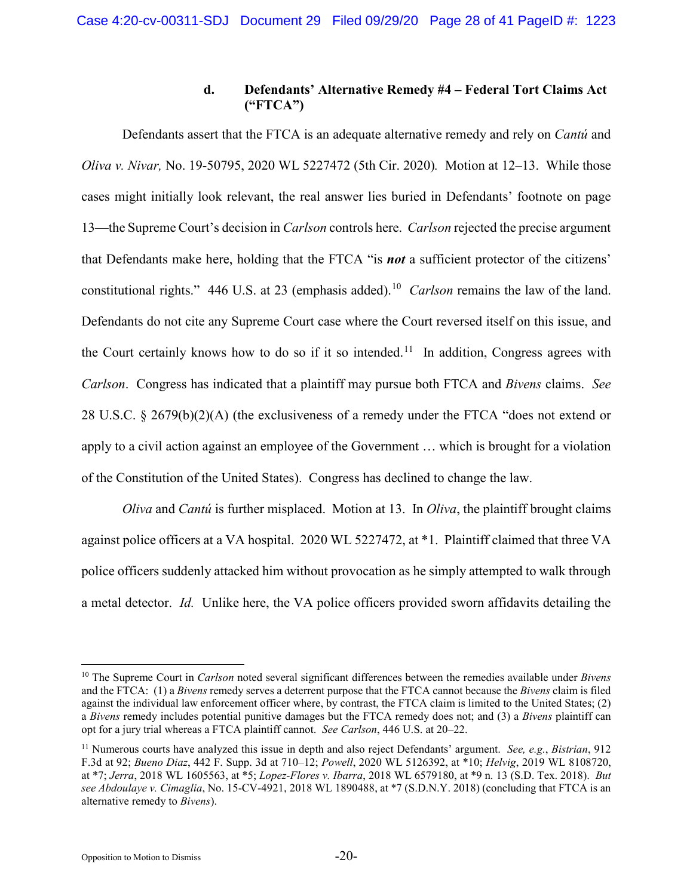# <span id="page-27-7"></span>**d. Defendants' Alternative Remedy #4 – Federal Tort Claims Act ("FTCA")**

<span id="page-27-5"></span>Defendants assert that the FTCA is an adequate alternative remedy and rely on *Cantú* and *Oliva v. Nivar,* No. 19-50795, 2020 WL 5227472 (5th Cir. 2020)*.* Motion at 12–13. While those cases might initially look relevant, the real answer lies buried in Defendants' footnote on page 13—the Supreme Court's decision in *Carlson* controls here. *Carlson* rejected the precise argument that Defendants make here, holding that the FTCA "is *not* a sufficient protector of the citizens' constitutional rights." 446 U.S. at 23 (emphasis added).[10](#page-27-9) *Carlson* remains the law of the land. Defendants do not cite any Supreme Court case where the Court reversed itself on this issue, and the Court certainly knows how to do so if it so intended.<sup>[11](#page-27-10)</sup> In addition, Congress agrees with *Carlson*. Congress has indicated that a plaintiff may pursue both FTCA and *Bivens* claims. *See*  28 U.S.C.  $\S$  2679(b)(2)(A) (the exclusiveness of a remedy under the FTCA "does not extend or apply to a civil action against an employee of the Government … which is brought for a violation of the Constitution of the United States). Congress has declined to change the law.

<span id="page-27-8"></span><span id="page-27-6"></span>*Oliva* and *Cantú* is further misplaced. Motion at 13. In *Oliva*, the plaintiff brought claims against police officers at a VA hospital. 2020 WL 5227472, at \*1. Plaintiff claimed that three VA police officers suddenly attacked him without provocation as he simply attempted to walk through a metal detector. *Id.* Unlike here, the VA police officers provided sworn affidavits detailing the

<span id="page-27-9"></span> <sup>10</sup> The Supreme Court in *Carlson* noted several significant differences between the remedies available under *Bivens* and the FTCA: (1) a *Bivens* remedy serves a deterrent purpose that the FTCA cannot because the *Bivens* claim is filed against the individual law enforcement officer where, by contrast, the FTCA claim is limited to the United States; (2) a *Bivens* remedy includes potential punitive damages but the FTCA remedy does not; and (3) a *Bivens* plaintiff can opt for a jury trial whereas a FTCA plaintiff cannot. *See Carlson*, 446 U.S. at 20–22.

<span id="page-27-10"></span><span id="page-27-4"></span><span id="page-27-3"></span><span id="page-27-2"></span><span id="page-27-1"></span><span id="page-27-0"></span><sup>11</sup> Numerous courts have analyzed this issue in depth and also reject Defendants' argument. *See, e.g.*, *Bistrian*, 912 F.3d at 92; *Bueno Diaz*, 442 F. Supp. 3d at 710–12; *Powell*, 2020 WL 5126392, at \*10; *Helvig*, 2019 WL 8108720, at \*7; *Jerra*, 2018 WL 1605563, at \*5; *Lopez-Flores v. Ibarra*, 2018 WL 6579180, at \*9 n. 13 (S.D. Tex. 2018). *But see Abdoulaye v. Cimaglia*, No. 15-CV-4921, 2018 WL 1890488, at \*7 (S.D.N.Y. 2018) (concluding that FTCA is an alternative remedy to *Bivens*).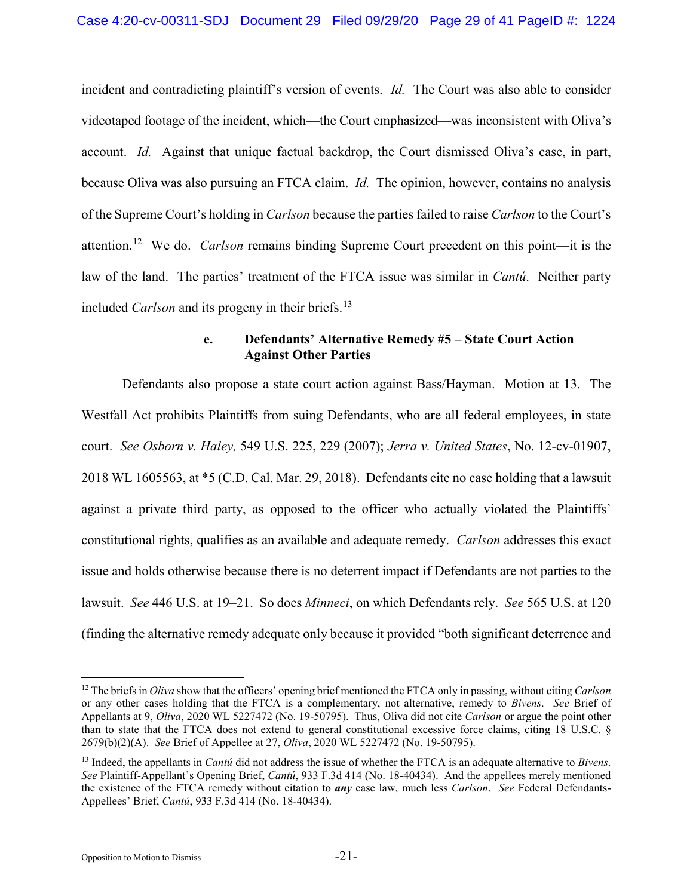<span id="page-28-2"></span>incident and contradicting plaintiff's version of events. *Id.* The Court was also able to consider videotaped footage of the incident, which—the Court emphasized—was inconsistent with Oliva's account. *Id.* Against that unique factual backdrop, the Court dismissed Oliva's case, in part, because Oliva was also pursuing an FTCA claim. *Id.* The opinion, however, contains no analysis of the Supreme Court's holding in *Carlson* because the parties failed to raise *Carlson* to the Court's attention.[12](#page-28-4) We do. *Carlson* remains binding Supreme Court precedent on this point—it is the law of the land. The parties' treatment of the FTCA issue was similar in *Cantú*. Neither party included *Carlson* and its progeny in their briefs.<sup>[13](#page-28-5)</sup>

# <span id="page-28-1"></span><span id="page-28-0"></span>**e. Defendants' Alternative Remedy #5 – State Court Action Against Other Parties**

<span id="page-28-3"></span>Defendants also propose a state court action against Bass/Hayman. Motion at 13. The Westfall Act prohibits Plaintiffs from suing Defendants, who are all federal employees, in state court. *See Osborn v. Haley,* 549 U.S. 225, 229 (2007); *Jerra v. United States*, No. 12-cv-01907, 2018 WL 1605563, at \*5 (C.D. Cal. Mar. 29, 2018). Defendants cite no case holding that a lawsuit against a private third party, as opposed to the officer who actually violated the Plaintiffs' constitutional rights, qualifies as an available and adequate remedy. *Carlson* addresses this exact issue and holds otherwise because there is no deterrent impact if Defendants are not parties to the lawsuit. *See* 446 U.S. at 19–21. So does *Minneci*, on which Defendants rely. *See* 565 U.S. at 120 (finding the alternative remedy adequate only because it provided "both significant deterrence and

Opposition to Motion to Dismiss -21-

<span id="page-28-4"></span> <sup>12</sup> The briefs in *Oliva* show that the officers' opening brief mentioned the FTCA only in passing, without citing *Carlson*  or any other cases holding that the FTCA is a complementary, not alternative, remedy to *Bivens*. *See* Brief of Appellants at 9, *Oliva*, 2020 WL 5227472 (No. 19-50795). Thus, Oliva did not cite *Carlson* or argue the point other than to state that the FTCA does not extend to general constitutional excessive force claims, citing 18 U.S.C. § 2679(b)(2)(A). *See* Brief of Appellee at 27, *Oliva*, 2020 WL 5227472 (No. 19-50795).

<span id="page-28-5"></span><sup>13</sup> Indeed, the appellants in *Cantú* did not address the issue of whether the FTCA is an adequate alternative to *Bivens*. *See* Plaintiff-Appellant's Opening Brief, *Cantú*, 933 F.3d 414 (No. 18-40434). And the appellees merely mentioned the existence of the FTCA remedy without citation to *any* case law, much less *Carlson*. *See* Federal Defendants-Appellees' Brief, *Cantú*, 933 F.3d 414 (No. 18-40434).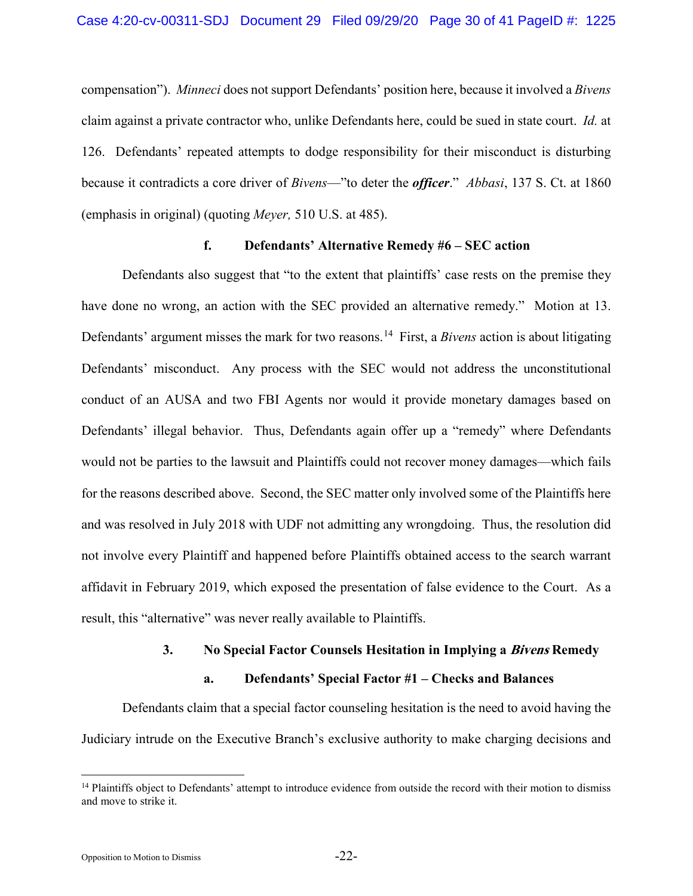compensation"). *Minneci* does not support Defendants' position here, because it involved a *Bivens* claim against a private contractor who, unlike Defendants here, could be sued in state court. *Id.* at 126. Defendants' repeated attempts to dodge responsibility for their misconduct is disturbing because it contradicts a core driver of *Bivens*—"to deter the *officer*." *Abbasi*, 137 S. Ct. at 1860 (emphasis in original) (quoting *Meyer,* 510 U.S. at 485).

# <span id="page-29-0"></span>**f. Defendants' Alternative Remedy #6 – SEC action**

Defendants also suggest that "to the extent that plaintiffs' case rests on the premise they have done no wrong, an action with the SEC provided an alternative remedy." Motion at 13. Defendants' argument misses the mark for two reasons.[14](#page-29-1) First, a *Bivens* action is about litigating Defendants' misconduct. Any process with the SEC would not address the unconstitutional conduct of an AUSA and two FBI Agents nor would it provide monetary damages based on Defendants' illegal behavior. Thus, Defendants again offer up a "remedy" where Defendants would not be parties to the lawsuit and Plaintiffs could not recover money damages—which fails for the reasons described above. Second, the SEC matter only involved some of the Plaintiffs here and was resolved in July 2018 with UDF not admitting any wrongdoing. Thus, the resolution did not involve every Plaintiff and happened before Plaintiffs obtained access to the search warrant affidavit in February 2019, which exposed the presentation of false evidence to the Court. As a result, this "alternative" was never really available to Plaintiffs.

#### **3. No Special Factor Counsels Hesitation in Implying a Bivens Remedy**

### **a. Defendants' Special Factor #1 – Checks and Balances**

Defendants claim that a special factor counseling hesitation is the need to avoid having the Judiciary intrude on the Executive Branch's exclusive authority to make charging decisions and

<span id="page-29-1"></span><sup>&</sup>lt;sup>14</sup> Plaintiffs object to Defendants' attempt to introduce evidence from outside the record with their motion to dismiss and move to strike it.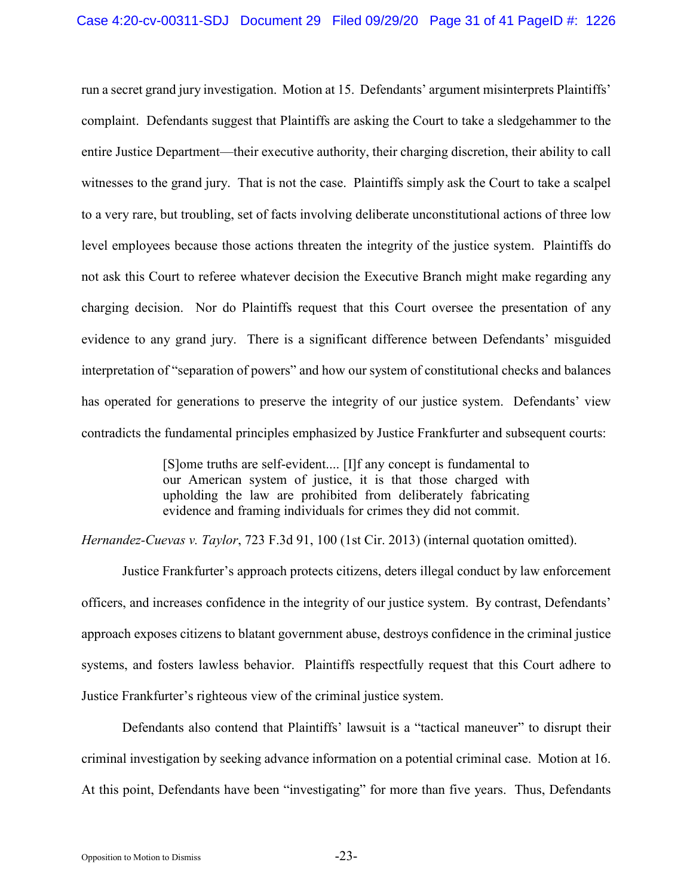run a secret grand jury investigation. Motion at 15. Defendants' argument misinterprets Plaintiffs' complaint. Defendants suggest that Plaintiffs are asking the Court to take a sledgehammer to the entire Justice Department—their executive authority, their charging discretion, their ability to call witnesses to the grand jury. That is not the case. Plaintiffs simply ask the Court to take a scalpel to a very rare, but troubling, set of facts involving deliberate unconstitutional actions of three low level employees because those actions threaten the integrity of the justice system. Plaintiffs do not ask this Court to referee whatever decision the Executive Branch might make regarding any charging decision. Nor do Plaintiffs request that this Court oversee the presentation of any evidence to any grand jury. There is a significant difference between Defendants' misguided interpretation of "separation of powers" and how our system of constitutional checks and balances has operated for generations to preserve the integrity of our justice system. Defendants' view contradicts the fundamental principles emphasized by Justice Frankfurter and subsequent courts:

> [S]ome truths are self-evident.... [I]f any concept is fundamental to our American system of justice, it is that those charged with upholding the law are prohibited from deliberately fabricating evidence and framing individuals for crimes they did not commit.

<span id="page-30-0"></span>*Hernandez-Cuevas v. Taylor*, 723 F.3d 91, 100 (1st Cir. 2013) (internal quotation omitted).

Justice Frankfurter's approach protects citizens, deters illegal conduct by law enforcement officers, and increases confidence in the integrity of our justice system. By contrast, Defendants' approach exposes citizens to blatant government abuse, destroys confidence in the criminal justice systems, and fosters lawless behavior. Plaintiffs respectfully request that this Court adhere to Justice Frankfurter's righteous view of the criminal justice system.

Defendants also contend that Plaintiffs' lawsuit is a "tactical maneuver" to disrupt their criminal investigation by seeking advance information on a potential criminal case. Motion at 16. At this point, Defendants have been "investigating" for more than five years. Thus, Defendants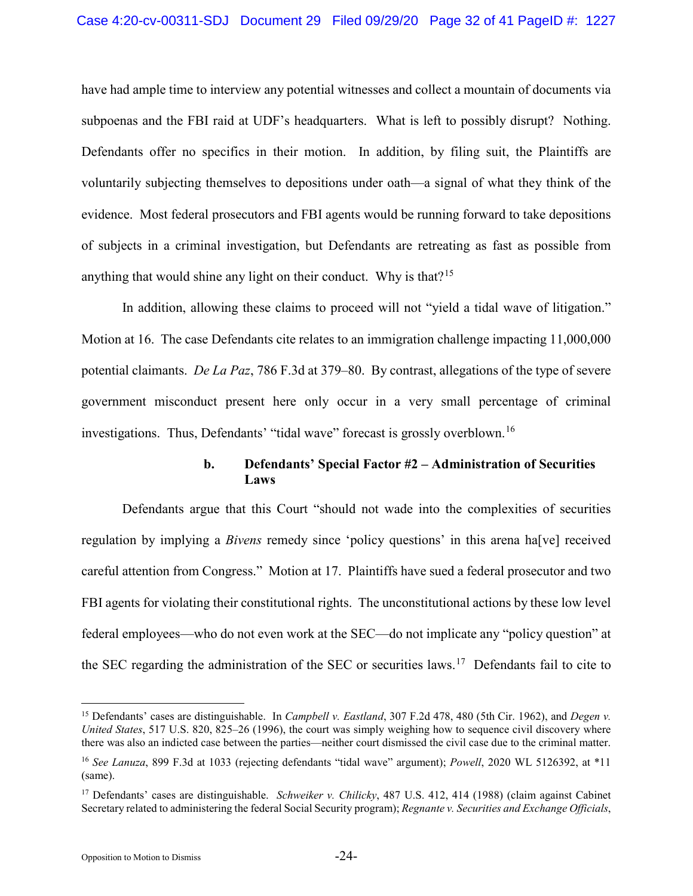have had ample time to interview any potential witnesses and collect a mountain of documents via subpoenas and the FBI raid at UDF's headquarters. What is left to possibly disrupt? Nothing. Defendants offer no specifics in their motion. In addition, by filing suit, the Plaintiffs are voluntarily subjecting themselves to depositions under oath—a signal of what they think of the evidence. Most federal prosecutors and FBI agents would be running forward to take depositions of subjects in a criminal investigation, but Defendants are retreating as fast as possible from anything that would shine any light on their conduct. Why is that?<sup>[15](#page-31-6)</sup>

In addition, allowing these claims to proceed will not "yield a tidal wave of litigation." Motion at 16. The case Defendants cite relates to an immigration challenge impacting 11,000,000 potential claimants. *De La Paz*, 786 F.3d at 379–80. By contrast, allegations of the type of severe government misconduct present here only occur in a very small percentage of criminal investigations. Thus, Defendants' "tidal wave" forecast is grossly overblown.<sup>[16](#page-31-7)</sup>

# <span id="page-31-2"></span><span id="page-31-1"></span>**b. Defendants' Special Factor #2 – Administration of Securities Laws**

Defendants argue that this Court "should not wade into the complexities of securities regulation by implying a *Bivens* remedy since 'policy questions' in this arena ha[ve] received careful attention from Congress." Motion at 17. Plaintiffs have sued a federal prosecutor and two FBI agents for violating their constitutional rights. The unconstitutional actions by these low level federal employees—who do not even work at the SEC—do not implicate any "policy question" at the SEC regarding the administration of the SEC or securities laws.<sup>[17](#page-31-8)</sup> Defendants fail to cite to

<span id="page-31-6"></span><span id="page-31-0"></span> <sup>15</sup> Defendants' cases are distinguishable. In *Campbell v. Eastland*, 307 F.2d 478, 480 (5th Cir. 1962), and *Degen v. United States*, 517 U.S. 820, 825–26 (1996), the court was simply weighing how to sequence civil discovery where there was also an indicted case between the parties—neither court dismissed the civil case due to the criminal matter.

<span id="page-31-7"></span><span id="page-31-3"></span><sup>16</sup> *See Lanuza*, 899 F.3d at 1033 (rejecting defendants "tidal wave" argument); *Powell*, 2020 WL 5126392, at \*11 (same).

<span id="page-31-8"></span><span id="page-31-5"></span><span id="page-31-4"></span><sup>17</sup> Defendants' cases are distinguishable. *Schweiker v. Chilicky*, 487 U.S. 412, 414 (1988) (claim against Cabinet Secretary related to administering the federal Social Security program); *Regnante v. Securities and Exchange Officials*,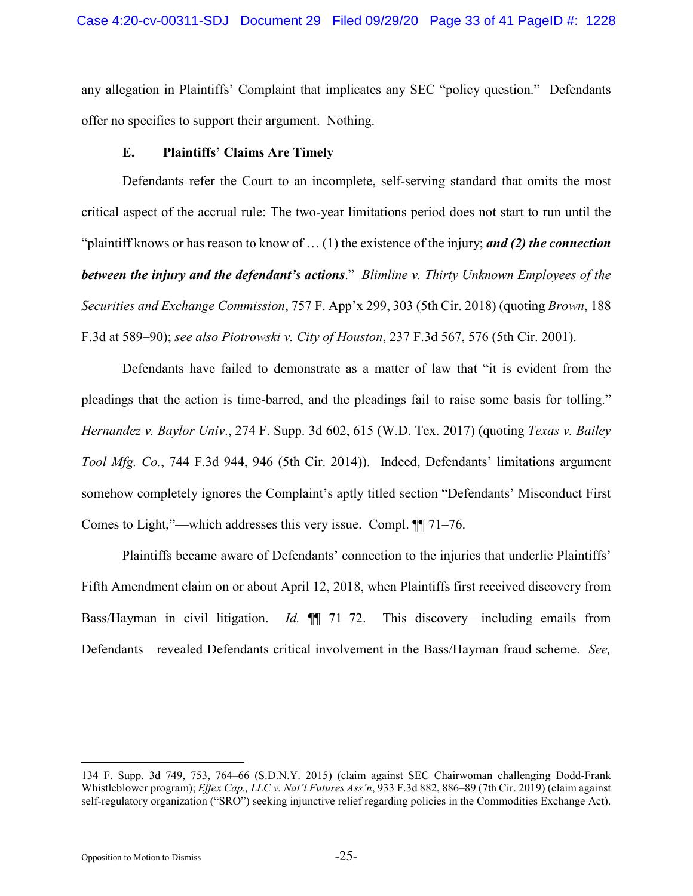any allegation in Plaintiffs' Complaint that implicates any SEC "policy question." Defendants offer no specifics to support their argument. Nothing.

## <span id="page-32-0"></span>**E. Plaintiffs' Claims Are Timely**

Defendants refer the Court to an incomplete, self-serving standard that omits the most critical aspect of the accrual rule: The two-year limitations period does not start to run until the "plaintiff knows or has reason to know of … (1) the existence of the injury; *and (2) the connection between the injury and the defendant's actions*." *Blimline v. Thirty Unknown Employees of the Securities and Exchange Commission*, 757 F. App'x 299, 303 (5th Cir. 2018) (quoting *Brown*, 188 F.3d at 589–90); *see also Piotrowski v. City of Houston*, 237 F.3d 567, 576 (5th Cir. 2001).

<span id="page-32-3"></span><span id="page-32-2"></span>Defendants have failed to demonstrate as a matter of law that "it is evident from the pleadings that the action is time-barred, and the pleadings fail to raise some basis for tolling." *Hernandez v. Baylor Univ*., 274 F. Supp. 3d 602, 615 (W.D. Tex. 2017) (quoting *Texas v. Bailey Tool Mfg. Co.*, 744 F.3d 944, 946 (5th Cir. 2014)). Indeed, Defendants' limitations argument somehow completely ignores the Complaint's aptly titled section "Defendants' Misconduct First Comes to Light,"—which addresses this very issue. Compl. ¶¶ 71–76.

Plaintiffs became aware of Defendants' connection to the injuries that underlie Plaintiffs' Fifth Amendment claim on or about April 12, 2018, when Plaintiffs first received discovery from Bass/Hayman in civil litigation. *Id.* ¶¶ 71–72. This discovery—including emails from Defendants—revealed Defendants critical involvement in the Bass/Hayman fraud scheme. *See,* 

<span id="page-32-1"></span> <sup>134</sup> F. Supp. 3d 749, 753, 764–66 (S.D.N.Y. 2015) (claim against SEC Chairwoman challenging Dodd-Frank Whistleblower program); *Effex Cap., LLC v. Nat'l Futures Ass'n*, 933 F.3d 882, 886–89 (7th Cir. 2019) (claim against self-regulatory organization ("SRO") seeking injunctive relief regarding policies in the Commodities Exchange Act).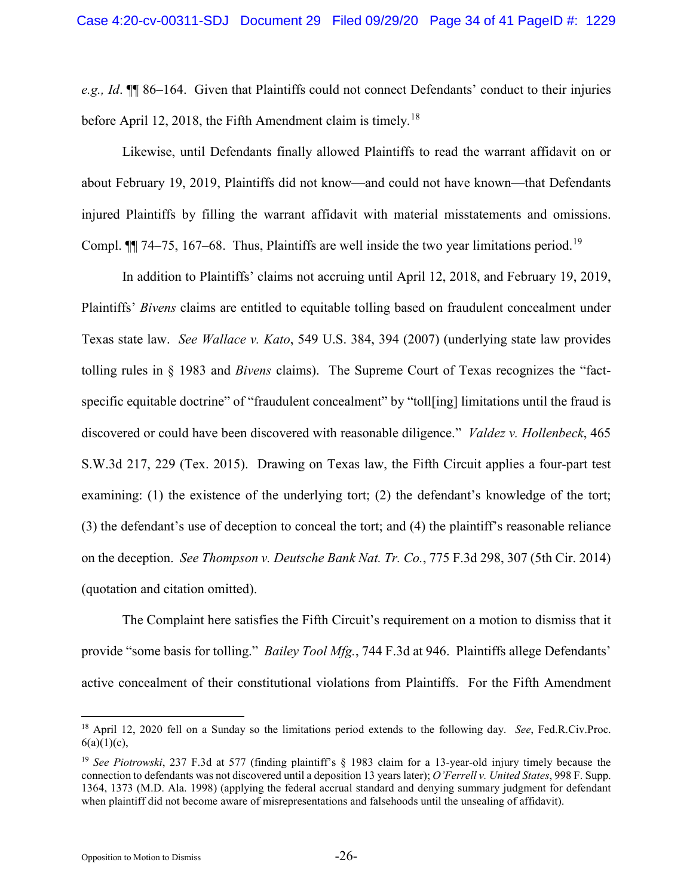*e.g., Id*. ¶¶ 86–164. Given that Plaintiffs could not connect Defendants' conduct to their injuries before April 12, 20[18](#page-33-7), the Fifth Amendment claim is timely.<sup>18</sup>

Likewise, until Defendants finally allowed Plaintiffs to read the warrant affidavit on or about February 19, 2019, Plaintiffs did not know—and could not have known—that Defendants injured Plaintiffs by filling the warrant affidavit with material misstatements and omissions. Compl.  $\P\P$  74–75, 167–68. Thus, Plaintiffs are well inside the two year limitations period.<sup>19</sup>

<span id="page-33-5"></span><span id="page-33-4"></span>In addition to Plaintiffs' claims not accruing until April 12, 2018, and February 19, 2019, Plaintiffs' *Bivens* claims are entitled to equitable tolling based on fraudulent concealment under Texas state law. *See Wallace v. Kato*, 549 U.S. 384, 394 (2007) (underlying state law provides tolling rules in § 1983 and *Bivens* claims). The Supreme Court of Texas recognizes the "factspecific equitable doctrine" of "fraudulent concealment" by "toll[ing] limitations until the fraud is discovered or could have been discovered with reasonable diligence." *Valdez v. Hollenbeck*, 465 S.W.3d 217, 229 (Tex. 2015). Drawing on Texas law, the Fifth Circuit applies a four-part test examining: (1) the existence of the underlying tort; (2) the defendant's knowledge of the tort; (3) the defendant's use of deception to conceal the tort; and (4) the plaintiff's reasonable reliance on the deception. *See Thompson v. Deutsche Bank Nat. Tr. Co.*, 775 F.3d 298, 307 (5th Cir. 2014) (quotation and citation omitted).

<span id="page-33-3"></span><span id="page-33-2"></span>The Complaint here satisfies the Fifth Circuit's requirement on a motion to dismiss that it provide "some basis for tolling." *Bailey Tool Mfg.*, 744 F.3d at 946. Plaintiffs allege Defendants' active concealment of their constitutional violations from Plaintiffs. For the Fifth Amendment

<span id="page-33-7"></span><span id="page-33-6"></span> <sup>18</sup> April 12, 2020 fell on a Sunday so the limitations period extends to the following day. *See*, Fed.R.Civ.Proc.  $6(a)(1)(c)$ ,

<span id="page-33-8"></span><span id="page-33-1"></span><span id="page-33-0"></span><sup>&</sup>lt;sup>19</sup> See Piotrowski, 237 F.3d at 577 (finding plaintiff's § 1983 claim for a 13-year-old injury timely because the connection to defendants was not discovered until a deposition 13 years later); *O'Ferrell v. United States*, 998 F. Supp. 1364, 1373 (M.D. Ala. 1998) (applying the federal accrual standard and denying summary judgment for defendant when plaintiff did not become aware of misrepresentations and falsehoods until the unsealing of affidavit).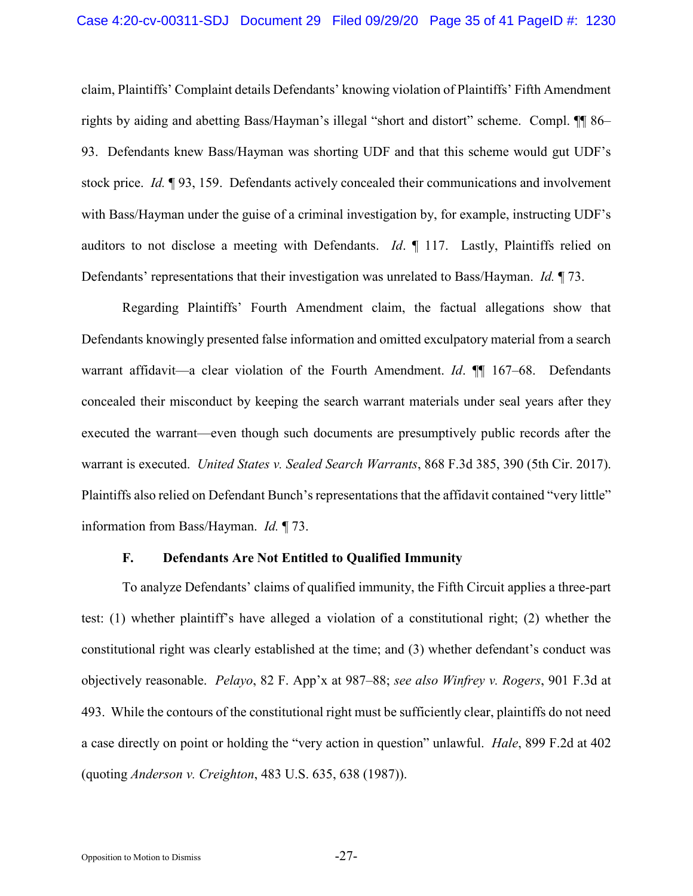claim, Plaintiffs' Complaint details Defendants' knowing violation of Plaintiffs' Fifth Amendment rights by aiding and abetting Bass/Hayman's illegal "short and distort" scheme. Compl. ¶¶ 86– 93. Defendants knew Bass/Hayman was shorting UDF and that this scheme would gut UDF's stock price. *Id.* ¶ 93, 159. Defendants actively concealed their communications and involvement with Bass/Hayman under the guise of a criminal investigation by, for example, instructing UDF's auditors to not disclose a meeting with Defendants. *Id*. ¶ 117. Lastly, Plaintiffs relied on Defendants' representations that their investigation was unrelated to Bass/Hayman. *Id.* ¶ 73.

Regarding Plaintiffs' Fourth Amendment claim, the factual allegations show that Defendants knowingly presented false information and omitted exculpatory material from a search warrant affidavit—a clear violation of the Fourth Amendment. *Id*. ¶¶ 167–68. Defendants concealed their misconduct by keeping the search warrant materials under seal years after they executed the warrant—even though such documents are presumptively public records after the warrant is executed. *United States v. Sealed Search Warrants*, 868 F.3d 385, 390 (5th Cir. 2017). Plaintiffs also relied on Defendant Bunch's representations that the affidavit contained "very little" information from Bass/Hayman. *Id.* ¶ 73.

### <span id="page-34-2"></span><span id="page-34-1"></span><span id="page-34-0"></span>**F. Defendants Are Not Entitled to Qualified Immunity**

To analyze Defendants' claims of qualified immunity, the Fifth Circuit applies a three-part test: (1) whether plaintiff's have alleged a violation of a constitutional right; (2) whether the constitutional right was clearly established at the time; and (3) whether defendant's conduct was objectively reasonable. *Pelayo*, 82 F. App'x at 987–88; *see also Winfrey v. Rogers*, 901 F.3d at 493. While the contours of the constitutional right must be sufficiently clear, plaintiffs do not need a case directly on point or holding the "very action in question" unlawful. *Hale*, 899 F.2d at 402 (quoting *Anderson v. Creighton*, 483 U.S. 635, 638 (1987)).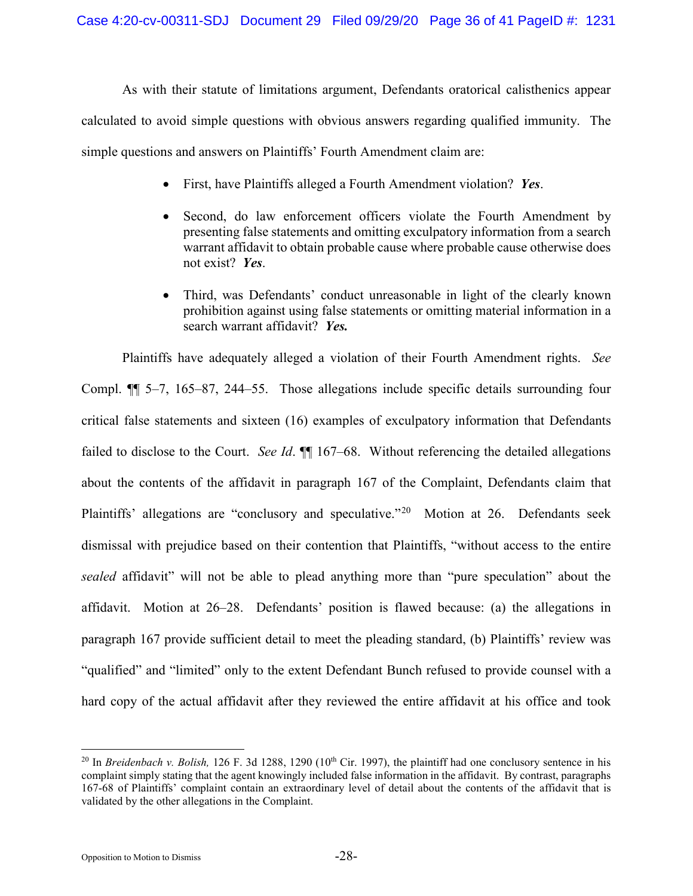As with their statute of limitations argument, Defendants oratorical calisthenics appear calculated to avoid simple questions with obvious answers regarding qualified immunity. The simple questions and answers on Plaintiffs' Fourth Amendment claim are:

- First, have Plaintiffs alleged a Fourth Amendment violation? *Yes*.
- Second, do law enforcement officers violate the Fourth Amendment by presenting false statements and omitting exculpatory information from a search warrant affidavit to obtain probable cause where probable cause otherwise does not exist? *Yes*.
- Third, was Defendants' conduct unreasonable in light of the clearly known prohibition against using false statements or omitting material information in a search warrant affidavit? *Yes.*

Plaintiffs have adequately alleged a violation of their Fourth Amendment rights. *See*  Compl. ¶¶ 5–7, 165–87, 244–55. Those allegations include specific details surrounding four critical false statements and sixteen (16) examples of exculpatory information that Defendants failed to disclose to the Court. *See Id*. **[1**] 167–68. Without referencing the detailed allegations about the contents of the affidavit in paragraph 167 of the Complaint, Defendants claim that Plaintiffs' allegations are "conclusory and speculative."<sup>[20](#page-35-2)</sup> Motion at 26. Defendants seek dismissal with prejudice based on their contention that Plaintiffs, "without access to the entire *sealed* affidavit" will not be able to plead anything more than "pure speculation" about the affidavit. Motion at 26–28. Defendants' position is flawed because: (a) the allegations in paragraph 167 provide sufficient detail to meet the pleading standard, (b) Plaintiffs' review was "qualified" and "limited" only to the extent Defendant Bunch refused to provide counsel with a hard copy of the actual affidavit after they reviewed the entire affidavit at his office and took

<span id="page-35-2"></span><span id="page-35-1"></span><span id="page-35-0"></span><sup>&</sup>lt;sup>20</sup> In *Breidenbach v. Bolish*, 126 F. 3d 1288, 1290 (10<sup>th</sup> Cir. 1997), the plaintiff had one conclusory sentence in his complaint simply stating that the agent knowingly included false information in the affidavit. By contrast, paragraphs 167-68 of Plaintiffs' complaint contain an extraordinary level of detail about the contents of the affidavit that is validated by the other allegations in the Complaint.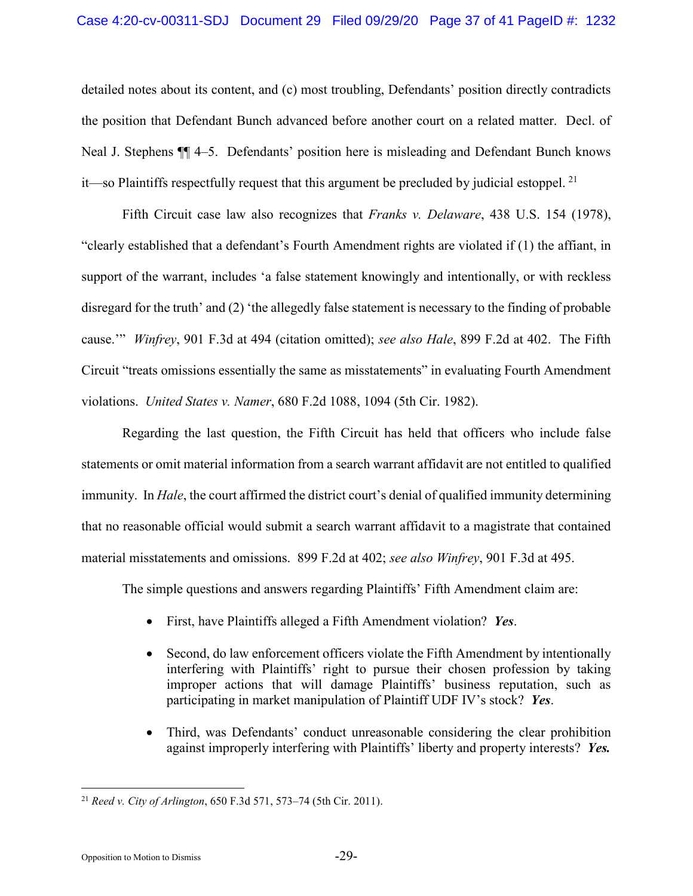### Case 4:20-cv-00311-SDJ Document 29 Filed 09/29/20 Page 37 of 41 PageID #: 1232

detailed notes about its content, and (c) most troubling, Defendants' position directly contradicts the position that Defendant Bunch advanced before another court on a related matter. Decl. of Neal J. Stephens ¶¶ 4–5. Defendants' position here is misleading and Defendant Bunch knows it—so Plaintiffs respectfully request that this argument be precluded by judicial estoppel.  $^{21}$ 

<span id="page-36-0"></span>Fifth Circuit case law also recognizes that *Franks v. Delaware*, 438 U.S. 154 (1978), "clearly established that a defendant's Fourth Amendment rights are violated if (1) the affiant, in support of the warrant, includes 'a false statement knowingly and intentionally, or with reckless disregard for the truth' and (2) 'the allegedly false statement is necessary to the finding of probable cause.'" *Winfrey*, 901 F.3d at 494 (citation omitted); *see also Hale*, 899 F.2d at 402. The Fifth Circuit "treats omissions essentially the same as misstatements" in evaluating Fourth Amendment violations. *United States v. Namer*, 680 F.2d 1088, 1094 (5th Cir. 1982).

<span id="page-36-4"></span><span id="page-36-3"></span><span id="page-36-1"></span>Regarding the last question, the Fifth Circuit has held that officers who include false statements or omit material information from a search warrant affidavit are not entitled to qualified immunity. In *Hale*, the court affirmed the district court's denial of qualified immunity determining that no reasonable official would submit a search warrant affidavit to a magistrate that contained material misstatements and omissions. 899 F.2d at 402; *see also Winfrey*, 901 F.3d at 495.

The simple questions and answers regarding Plaintiffs' Fifth Amendment claim are:

- First, have Plaintiffs alleged a Fifth Amendment violation? *Yes*.
- Second, do law enforcement officers violate the Fifth Amendment by intentionally interfering with Plaintiffs' right to pursue their chosen profession by taking improper actions that will damage Plaintiffs' business reputation, such as participating in market manipulation of Plaintiff UDF IV's stock? *Yes*.
- Third, was Defendants' conduct unreasonable considering the clear prohibition against improperly interfering with Plaintiffs' liberty and property interests? *Yes.*

<span id="page-36-5"></span><span id="page-36-2"></span> <sup>21</sup> *Reed v. City of Arlington*, 650 F.3d 571, 573–74 (5th Cir. 2011).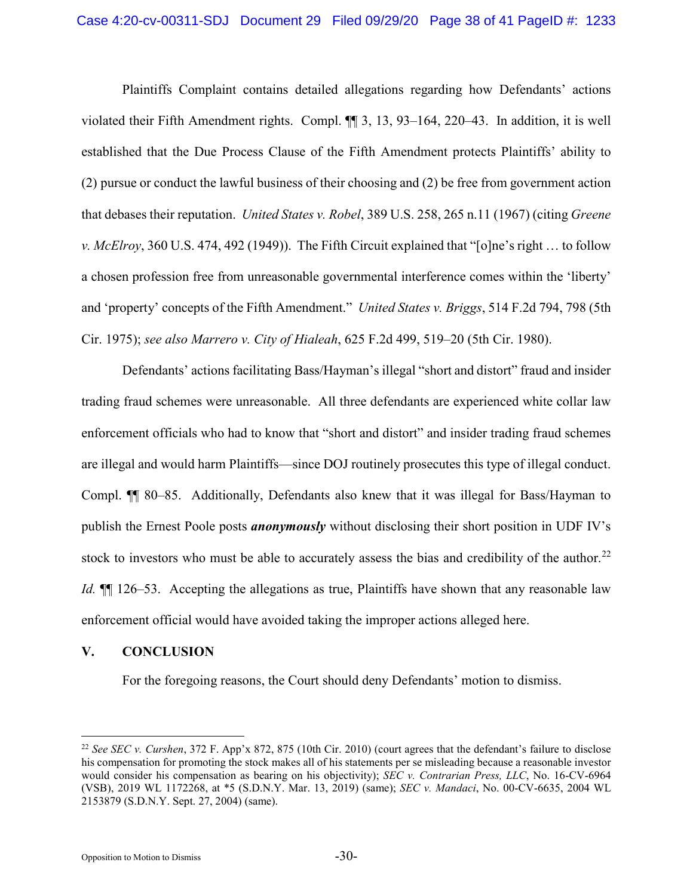<span id="page-37-5"></span>Plaintiffs Complaint contains detailed allegations regarding how Defendants' actions violated their Fifth Amendment rights. Compl. ¶¶ 3, 13, 93–164, 220–43. In addition, it is well established that the Due Process Clause of the Fifth Amendment protects Plaintiffs' ability to (2) pursue or conduct the lawful business of their choosing and (2) be free from government action that debases their reputation. *United States v. Robel*, 389 U.S. 258, 265 n.11 (1967) (citing *Greene v. McElroy*, 360 U.S. 474, 492 (1949)). The Fifth Circuit explained that "[o]ne's right … to follow a chosen profession free from unreasonable governmental interference comes within the 'liberty' and 'property' concepts of the Fifth Amendment." *United States v. Briggs*, 514 F.2d 794, 798 (5th Cir. 1975); *see also Marrero v. City of Hialeah*, 625 F.2d 499, 519–20 (5th Cir. 1980).

<span id="page-37-4"></span><span id="page-37-0"></span>Defendants' actions facilitating Bass/Hayman's illegal "short and distort" fraud and insider trading fraud schemes were unreasonable. All three defendants are experienced white collar law enforcement officials who had to know that "short and distort" and insider trading fraud schemes are illegal and would harm Plaintiffs—since DOJ routinely prosecutes this type of illegal conduct. Compl. ¶¶ 80–85. Additionally, Defendants also knew that it was illegal for Bass/Hayman to publish the Ernest Poole posts *anonymously* without disclosing their short position in UDF IV's stock to investors who must be able to accurately assess the bias and credibility of the author.<sup>[22](#page-37-6)</sup> *Id.*  $\P$  126–53. Accepting the allegations as true, Plaintiffs have shown that any reasonable law enforcement official would have avoided taking the improper actions alleged here.

# **V. CONCLUSION**

<span id="page-37-3"></span><span id="page-37-1"></span>For the foregoing reasons, the Court should deny Defendants' motion to dismiss.

<span id="page-37-6"></span><span id="page-37-2"></span> <sup>22</sup> *See SEC v. Curshen*, 372 F. App'x 872, 875 (10th Cir. 2010) (court agrees that the defendant's failure to disclose his compensation for promoting the stock makes all of his statements per se misleading because a reasonable investor would consider his compensation as bearing on his objectivity); *SEC v. Contrarian Press, LLC*, No. 16-CV-6964 (VSB), 2019 WL 1172268, at \*5 (S.D.N.Y. Mar. 13, 2019) (same); *SEC v. Mandaci*, No. 00-CV-6635, 2004 WL 2153879 (S.D.N.Y. Sept. 27, 2004) (same).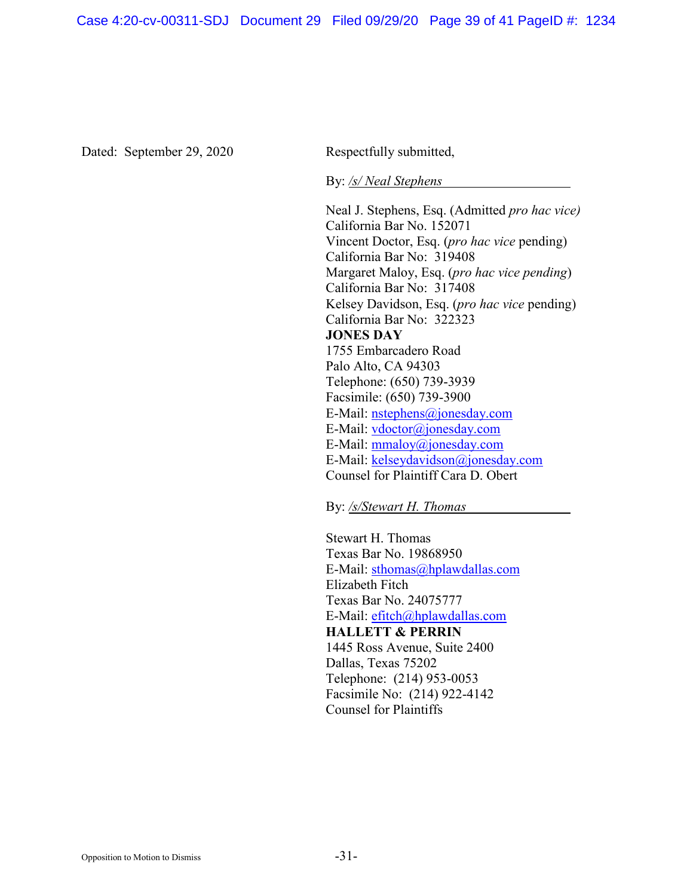Dated: September 29, 2020 Respectfully submitted,

By: */s/ Neal Stephens*

Neal J. Stephens, Esq. (Admitted *pro hac vice)* California Bar No. 152071 Vincent Doctor, Esq. (*pro hac vice* pending) California Bar No: 319408 Margaret Maloy, Esq. (*pro hac vice pending*) California Bar No: 317408 Kelsey Davidson, Esq. (*pro hac vice* pending) California Bar No: 322323 **JONES DAY** 1755 Embarcadero Road Palo Alto, CA 94303 Telephone: (650) 739-3939 Facsimile: (650) 739-3900 E-Mail: [nstephens@jonesday.com](mailto:nstephens@jonesday.com) E-Mail: [vdoctor@jonesday.com](mailto:vdoctor@jonesday.com) E-Mail: [mmaloy@jonesday.com](mailto:mmaloy@jonesday.com) E-Mail: [kelseydavidson@jonesday.com](mailto:kelseydavidson@jonesday.com) Counsel for Plaintiff Cara D. Obert

By: */s/Stewart H. Thomas*

Stewart H. Thomas Texas Bar No. 19868950 E-Mail: [sthomas@hplawdallas.com](mailto:sthomas@hplawdallas.com) Elizabeth Fitch Texas Bar No. 24075777 E-Mail: [efitch@hplawdallas.com](mailto:efitch@hplawdallas.com) **HALLETT & PERRIN** 1445 Ross Avenue, Suite 2400 Dallas, Texas 75202 Telephone: (214) 953-0053 Facsimile No: (214) 922-4142 Counsel for Plaintiffs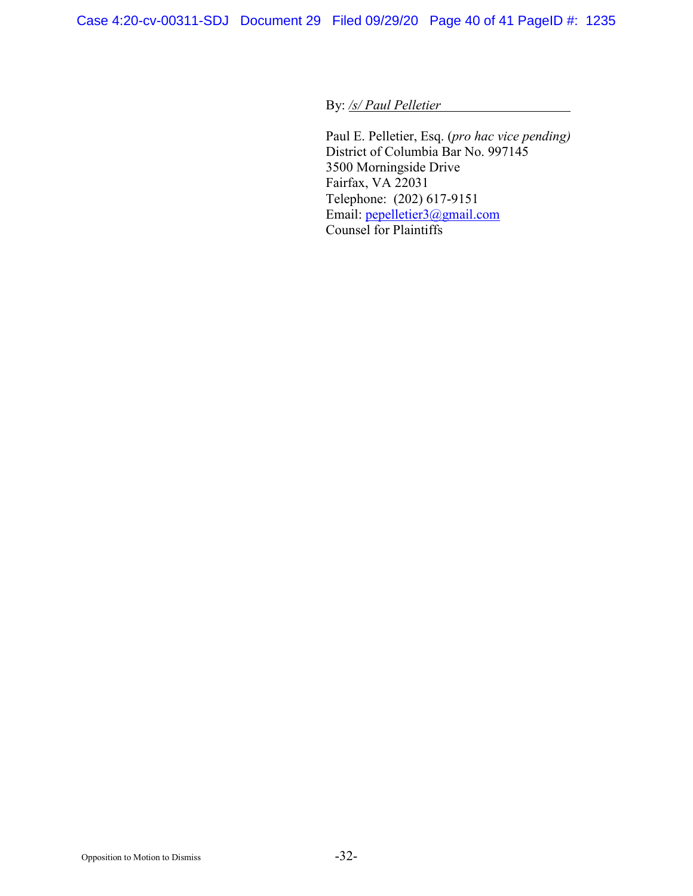By: */s/ Paul Pelletier*

Paul E. Pelletier, Esq. (*pro hac vice pending)* District of Columbia Bar No. 997145 3500 Morningside Drive Fairfax, VA 22031 Telephone: (202) 617-9151 Email: [pepelletier3@gmail.com](mailto:pepelletier3@gmail.com) Counsel for Plaintiffs